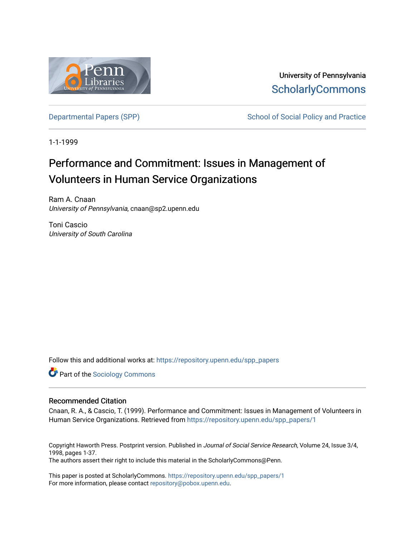

University of Pennsylvania **ScholarlyCommons** 

[Departmental Papers \(SPP\)](https://repository.upenn.edu/spp_papers) School of Social Policy and Practice

1-1-1999

# Performance and Commitment: Issues in Management of Volunteers in Human Service Organizations

Ram A. Cnaan University of Pennsylvania, cnaan@sp2.upenn.edu

Toni Cascio University of South Carolina

Follow this and additional works at: [https://repository.upenn.edu/spp\\_papers](https://repository.upenn.edu/spp_papers?utm_source=repository.upenn.edu%2Fspp_papers%2F1&utm_medium=PDF&utm_campaign=PDFCoverPages) 

**Part of the [Sociology Commons](http://network.bepress.com/hgg/discipline/416?utm_source=repository.upenn.edu%2Fspp_papers%2F1&utm_medium=PDF&utm_campaign=PDFCoverPages)** 

#### Recommended Citation

Cnaan, R. A., & Cascio, T. (1999). Performance and Commitment: Issues in Management of Volunteers in Human Service Organizations. Retrieved from [https://repository.upenn.edu/spp\\_papers/1](https://repository.upenn.edu/spp_papers/1?utm_source=repository.upenn.edu%2Fspp_papers%2F1&utm_medium=PDF&utm_campaign=PDFCoverPages) 

Copyright Haworth Press. Postprint version. Published in Journal of Social Service Research, Volume 24, Issue 3/4, 1998, pages 1-37. The authors assert their right to include this material in the ScholarlyCommons@Penn.

This paper is posted at ScholarlyCommons. [https://repository.upenn.edu/spp\\_papers/1](https://repository.upenn.edu/spp_papers/1)  For more information, please contact [repository@pobox.upenn.edu.](mailto:repository@pobox.upenn.edu)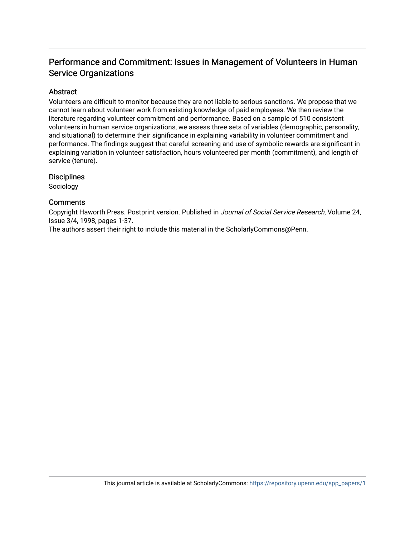# Performance and Commitment: Issues in Management of Volunteers in Human Service Organizations

## Abstract

Volunteers are difficult to monitor because they are not liable to serious sanctions. We propose that we cannot learn about volunteer work from existing knowledge of paid employees. We then review the literature regarding volunteer commitment and performance. Based on a sample of 510 consistent volunteers in human service organizations, we assess three sets of variables (demographic, personality, and situational) to determine their significance in explaining variability in volunteer commitment and performance. The findings suggest that careful screening and use of symbolic rewards are significant in explaining variation in volunteer satisfaction, hours volunteered per month (commitment), and length of service (tenure).

## **Disciplines**

Sociology

## **Comments**

Copyright Haworth Press. Postprint version. Published in Journal of Social Service Research, Volume 24, Issue 3/4, 1998, pages 1-37.

The authors assert their right to include this material in the ScholarlyCommons@Penn.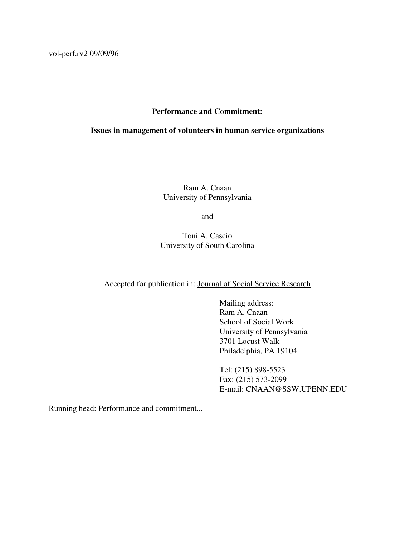vol-perf.rv2 09/09/96

## **Performance and Commitment:**

## **Issues in management of volunteers in human service organizations**

Ram A. Cnaan University of Pennsylvania

and

Toni A. Cascio University of South Carolina

## Accepted for publication in: Journal of Social Service Research

Mailing address: Ram A. Cnaan School of Social Work University of Pennsylvania 3701 Locust Walk Philadelphia, PA 19104

Tel: (215) 898-5523 Fax: (215) 573-2099 E-mail: CNAAN@SSW.UPENN.EDU

Running head: Performance and commitment...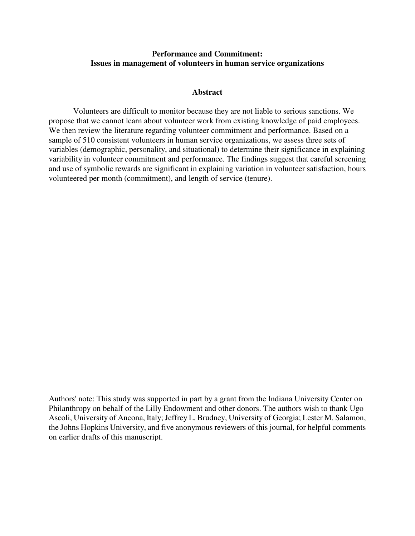## **Performance and Commitment: Issues in management of volunteers in human service organizations**

#### **Abstract**

Volunteers are difficult to monitor because they are not liable to serious sanctions. We propose that we cannot learn about volunteer work from existing knowledge of paid employees. We then review the literature regarding volunteer commitment and performance. Based on a sample of 510 consistent volunteers in human service organizations, we assess three sets of variables (demographic, personality, and situational) to determine their significance in explaining variability in volunteer commitment and performance. The findings suggest that careful screening and use of symbolic rewards are significant in explaining variation in volunteer satisfaction, hours volunteered per month (commitment), and length of service (tenure).

Authors' note: This study was supported in part by a grant from the Indiana University Center on Philanthropy on behalf of the Lilly Endowment and other donors. The authors wish to thank Ugo Ascoli, University of Ancona, Italy; Jeffrey L. Brudney, University of Georgia; Lester M. Salamon, the Johns Hopkins University, and five anonymous reviewers of this journal, for helpful comments on earlier drafts of this manuscript.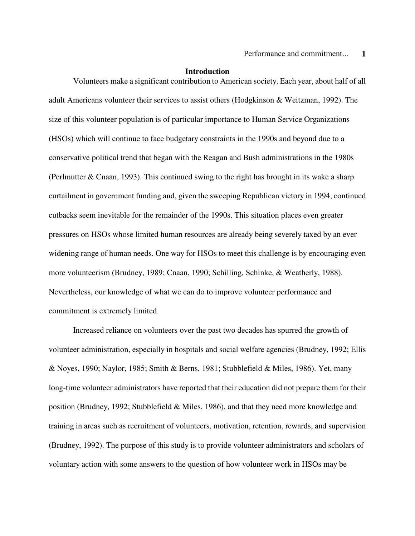#### **Introduction**

Volunteers make a significant contribution to American society. Each year, about half of all adult Americans volunteer their services to assist others (Hodgkinson & Weitzman, 1992). The size of this volunteer population is of particular importance to Human Service Organizations (HSOs) which will continue to face budgetary constraints in the 1990s and beyond due to a conservative political trend that began with the Reagan and Bush administrations in the 1980s (Perlmutter & Cnaan, 1993). This continued swing to the right has brought in its wake a sharp curtailment in government funding and, given the sweeping Republican victory in 1994, continued cutbacks seem inevitable for the remainder of the 1990s. This situation places even greater pressures on HSOs whose limited human resources are already being severely taxed by an ever widening range of human needs. One way for HSOs to meet this challenge is by encouraging even more volunteerism (Brudney, 1989; Cnaan, 1990; Schilling, Schinke, & Weatherly, 1988). Nevertheless, our knowledge of what we can do to improve volunteer performance and commitment is extremely limited.

Increased reliance on volunteers over the past two decades has spurred the growth of volunteer administration, especially in hospitals and social welfare agencies (Brudney, 1992; Ellis & Noyes, 1990; Naylor, 1985; Smith & Berns, 1981; Stubblefield & Miles, 1986). Yet, many long-time volunteer administrators have reported that their education did not prepare them for their position (Brudney, 1992; Stubblefield & Miles, 1986), and that they need more knowledge and training in areas such as recruitment of volunteers, motivation, retention, rewards, and supervision (Brudney, 1992). The purpose of this study is to provide volunteer administrators and scholars of voluntary action with some answers to the question of how volunteer work in HSOs may be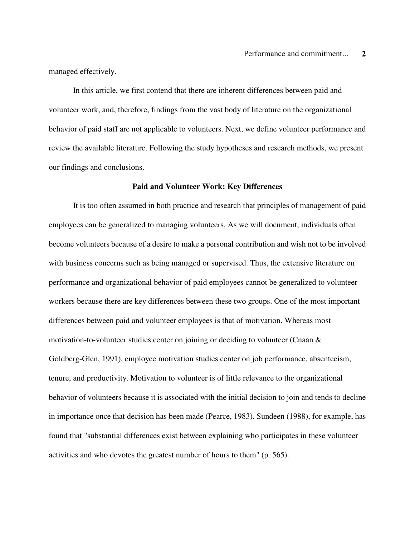managed effectively.

In this article, we first contend that there are inherent differences between paid and volunteer work, and, therefore, findings from the vast body of literature on the organizational behavior of paid staff are not applicable to volunteers. Next, we define volunteer performance and review the available literature. Following the study hypotheses and research methods, we present our findings and conclusions.

#### **Paid and Volunteer Work: Key Differences**

It is too often assumed in both practice and research that principles of management of paid employees can be generalized to managing volunteers. As we will document, individuals often become volunteers because of a desire to make a personal contribution and wish not to be involved with business concerns such as being managed or supervised. Thus, the extensive literature on performance and organizational behavior of paid employees cannot be generalized to volunteer workers because there are key differences between these two groups. One of the most important differences between paid and volunteer employees is that of motivation. Whereas most motivation-to-volunteer studies center on joining or deciding to volunteer (Cnaan  $\&$ Goldberg-Glen, 1991), employee motivation studies center on job performance, absenteeism, tenure, and productivity. Motivation to volunteer is of little relevance to the organizational behavior of volunteers because it is associated with the initial decision to join and tends to decline in importance once that decision has been made (Pearce, 1983). Sundeen (1988), for example, has found that "substantial differences exist between explaining who participates in these volunteer activities and who devotes the greatest number of hours to them" (p. 565).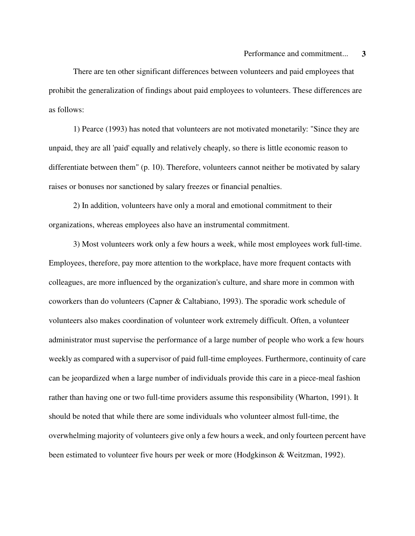There are ten other significant differences between volunteers and paid employees that prohibit the generalization of findings about paid employees to volunteers. These differences are as follows:

1) Pearce (1993) has noted that volunteers are not motivated monetarily: "Since they are unpaid, they are all 'paid' equally and relatively cheaply, so there is little economic reason to differentiate between them" (p. 10). Therefore, volunteers cannot neither be motivated by salary raises or bonuses nor sanctioned by salary freezes or financial penalties.

2) In addition, volunteers have only a moral and emotional commitment to their organizations, whereas employees also have an instrumental commitment.

3) Most volunteers work only a few hours a week, while most employees work full-time. Employees, therefore, pay more attention to the workplace, have more frequent contacts with colleagues, are more influenced by the organization's culture, and share more in common with coworkers than do volunteers (Capner & Caltabiano, 1993). The sporadic work schedule of volunteers also makes coordination of volunteer work extremely difficult. Often, a volunteer administrator must supervise the performance of a large number of people who work a few hours weekly as compared with a supervisor of paid full-time employees. Furthermore, continuity of care can be jeopardized when a large number of individuals provide this care in a piece-meal fashion rather than having one or two full-time providers assume this responsibility (Wharton, 1991). It should be noted that while there are some individuals who volunteer almost full-time, the overwhelming majority of volunteers give only a few hours a week, and only fourteen percent have been estimated to volunteer five hours per week or more (Hodgkinson & Weitzman, 1992).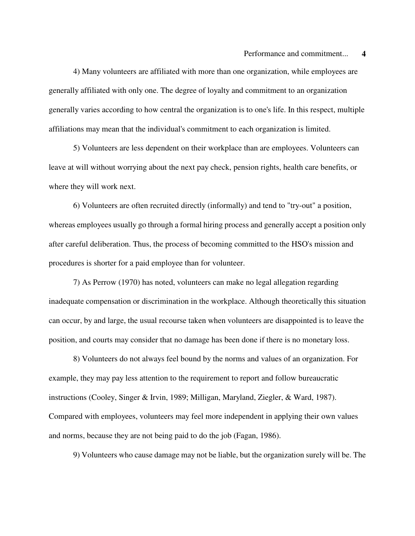4) Many volunteers are affiliated with more than one organization, while employees are generally affiliated with only one. The degree of loyalty and commitment to an organization generally varies according to how central the organization is to one's life. In this respect, multiple affiliations may mean that the individual's commitment to each organization is limited.

5) Volunteers are less dependent on their workplace than are employees. Volunteers can leave at will without worrying about the next pay check, pension rights, health care benefits, or where they will work next.

6) Volunteers are often recruited directly (informally) and tend to "try-out" a position, whereas employees usually go through a formal hiring process and generally accept a position only after careful deliberation. Thus, the process of becoming committed to the HSO's mission and procedures is shorter for a paid employee than for volunteer.

7) As Perrow (1970) has noted, volunteers can make no legal allegation regarding inadequate compensation or discrimination in the workplace. Although theoretically this situation can occur, by and large, the usual recourse taken when volunteers are disappointed is to leave the position, and courts may consider that no damage has been done if there is no monetary loss.

8) Volunteers do not always feel bound by the norms and values of an organization. For example, they may pay less attention to the requirement to report and follow bureaucratic instructions (Cooley, Singer & Irvin, 1989; Milligan, Maryland, Ziegler, & Ward, 1987). Compared with employees, volunteers may feel more independent in applying their own values and norms, because they are not being paid to do the job (Fagan, 1986).

9) Volunteers who cause damage may not be liable, but the organization surely will be. The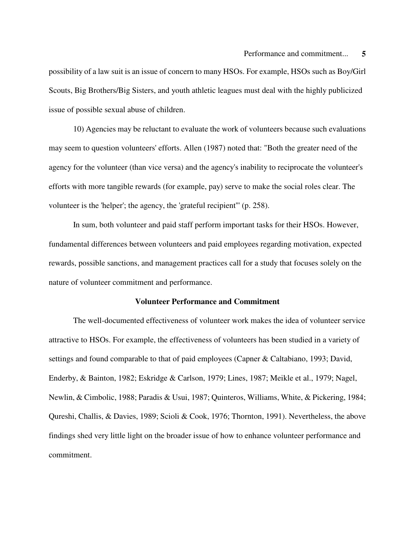possibility of a law suit is an issue of concern to many HSOs. For example, HSOs such as Boy/Girl Scouts, Big Brothers/Big Sisters, and youth athletic leagues must deal with the highly publicized issue of possible sexual abuse of children.

10) Agencies may be reluctant to evaluate the work of volunteers because such evaluations may seem to question volunteers' efforts. Allen (1987) noted that: "Both the greater need of the agency for the volunteer (than vice versa) and the agency's inability to reciprocate the volunteer's efforts with more tangible rewards (for example, pay) serve to make the social roles clear. The volunteer is the 'helper'; the agency, the 'grateful recipient''' (p. 258).

In sum, both volunteer and paid staff perform important tasks for their HSOs. However, fundamental differences between volunteers and paid employees regarding motivation, expected rewards, possible sanctions, and management practices call for a study that focuses solely on the nature of volunteer commitment and performance.

## **Volunteer Performance and Commitment**

The well-documented effectiveness of volunteer work makes the idea of volunteer service attractive to HSOs. For example, the effectiveness of volunteers has been studied in a variety of settings and found comparable to that of paid employees (Capner & Caltabiano, 1993; David, Enderby, & Bainton, 1982; Eskridge & Carlson, 1979; Lines, 1987; Meikle et al., 1979; Nagel, Newlin, & Cimbolic, 1988; Paradis & Usui, 1987; Quinteros, Williams, White, & Pickering, 1984; Qureshi, Challis, & Davies, 1989; Scioli & Cook, 1976; Thornton, 1991). Nevertheless, the above findings shed very little light on the broader issue of how to enhance volunteer performance and commitment.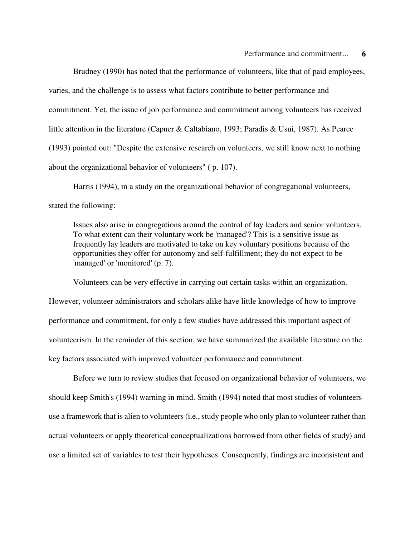Brudney (1990) has noted that the performance of volunteers, like that of paid employees, varies, and the challenge is to assess what factors contribute to better performance and commitment. Yet, the issue of job performance and commitment among volunteers has received little attention in the literature (Capner & Caltabiano, 1993; Paradis & Usui, 1987). As Pearce (1993) pointed out: "Despite the extensive research on volunteers, we still know next to nothing about the organizational behavior of volunteers" ( p. 107).

Harris (1994), in a study on the organizational behavior of congregational volunteers, stated the following:

Issues also arise in congregations around the control of lay leaders and senior volunteers. To what extent can their voluntary work be 'managed'? This is a sensitive issue as frequently lay leaders are motivated to take on key voluntary positions because of the opportunities they offer for autonomy and self-fulfillment; they do not expect to be 'managed' or 'monitored' (p. 7).

Volunteers can be very effective in carrying out certain tasks within an organization. However, volunteer administrators and scholars alike have little knowledge of how to improve performance and commitment, for only a few studies have addressed this important aspect of volunteerism. In the reminder of this section, we have summarized the available literature on the key factors associated with improved volunteer performance and commitment.

Before we turn to review studies that focused on organizational behavior of volunteers, we should keep Smith's (1994) warning in mind. Smith (1994) noted that most studies of volunteers use a framework that is alien to volunteers (i.e., study people who only plan to volunteer rather than actual volunteers or apply theoretical conceptualizations borrowed from other fields of study) and use a limited set of variables to test their hypotheses. Consequently, findings are inconsistent and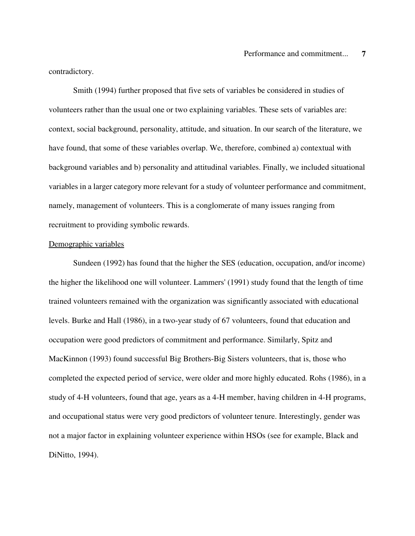contradictory.

Smith (1994) further proposed that five sets of variables be considered in studies of volunteers rather than the usual one or two explaining variables. These sets of variables are: context, social background, personality, attitude, and situation. In our search of the literature, we have found, that some of these variables overlap. We, therefore, combined a) contextual with background variables and b) personality and attitudinal variables. Finally, we included situational variables in a larger category more relevant for a study of volunteer performance and commitment, namely, management of volunteers. This is a conglomerate of many issues ranging from recruitment to providing symbolic rewards.

#### Demographic variables

Sundeen (1992) has found that the higher the SES (education, occupation, and/or income) the higher the likelihood one will volunteer. Lammers' (1991) study found that the length of time trained volunteers remained with the organization was significantly associated with educational levels. Burke and Hall (1986), in a two-year study of 67 volunteers, found that education and occupation were good predictors of commitment and performance. Similarly, Spitz and MacKinnon (1993) found successful Big Brothers-Big Sisters volunteers, that is, those who completed the expected period of service, were older and more highly educated. Rohs (1986), in a study of 4-H volunteers, found that age, years as a 4-H member, having children in 4-H programs, and occupational status were very good predictors of volunteer tenure. Interestingly, gender was not a major factor in explaining volunteer experience within HSOs (see for example, Black and DiNitto, 1994).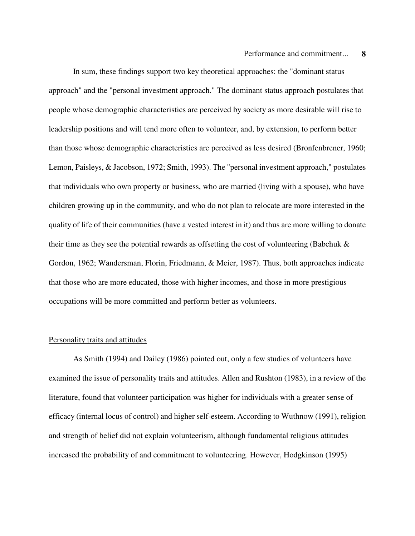In sum, these findings support two key theoretical approaches: the "dominant status approach" and the "personal investment approach." The dominant status approach postulates that people whose demographic characteristics are perceived by society as more desirable will rise to leadership positions and will tend more often to volunteer, and, by extension, to perform better than those whose demographic characteristics are perceived as less desired (Bronfenbrener, 1960; Lemon, Paisleys, & Jacobson, 1972; Smith, 1993). The "personal investment approach," postulates that individuals who own property or business, who are married (living with a spouse), who have children growing up in the community, and who do not plan to relocate are more interested in the quality of life of their communities (have a vested interest in it) and thus are more willing to donate their time as they see the potential rewards as offsetting the cost of volunteering (Babchuk  $\&$ Gordon, 1962; Wandersman, Florin, Friedmann, & Meier, 1987). Thus, both approaches indicate that those who are more educated, those with higher incomes, and those in more prestigious occupations will be more committed and perform better as volunteers.

#### Personality traits and attitudes

As Smith (1994) and Dailey (1986) pointed out, only a few studies of volunteers have examined the issue of personality traits and attitudes. Allen and Rushton (1983), in a review of the literature, found that volunteer participation was higher for individuals with a greater sense of efficacy (internal locus of control) and higher self-esteem. According to Wuthnow (1991), religion and strength of belief did not explain volunteerism, although fundamental religious attitudes increased the probability of and commitment to volunteering. However, Hodgkinson (1995)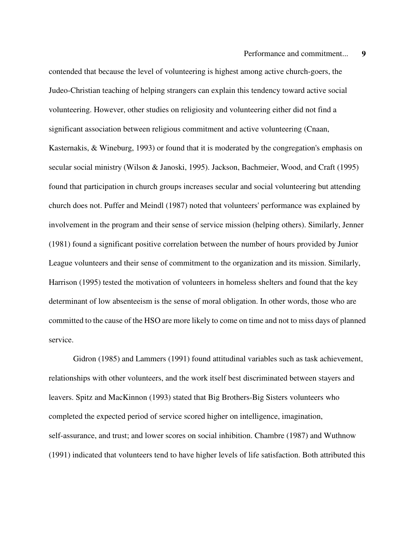contended that because the level of volunteering is highest among active church-goers, the Judeo-Christian teaching of helping strangers can explain this tendency toward active social volunteering. However, other studies on religiosity and volunteering either did not find a significant association between religious commitment and active volunteering (Cnaan, Kasternakis, & Wineburg, 1993) or found that it is moderated by the congregation's emphasis on secular social ministry (Wilson & Janoski, 1995). Jackson, Bachmeier, Wood, and Craft (1995) found that participation in church groups increases secular and social volunteering but attending church does not. Puffer and Meindl (1987) noted that volunteers' performance was explained by involvement in the program and their sense of service mission (helping others). Similarly, Jenner (1981) found a significant positive correlation between the number of hours provided by Junior League volunteers and their sense of commitment to the organization and its mission. Similarly, Harrison (1995) tested the motivation of volunteers in homeless shelters and found that the key determinant of low absenteeism is the sense of moral obligation. In other words, those who are committed to the cause of the HSO are more likely to come on time and not to miss days of planned service.

Gidron (1985) and Lammers (1991) found attitudinal variables such as task achievement, relationships with other volunteers, and the work itself best discriminated between stayers and leavers. Spitz and MacKinnon (1993) stated that Big Brothers-Big Sisters volunteers who completed the expected period of service scored higher on intelligence, imagination, self-assurance, and trust; and lower scores on social inhibition. Chambre (1987) and Wuthnow (1991) indicated that volunteers tend to have higher levels of life satisfaction. Both attributed this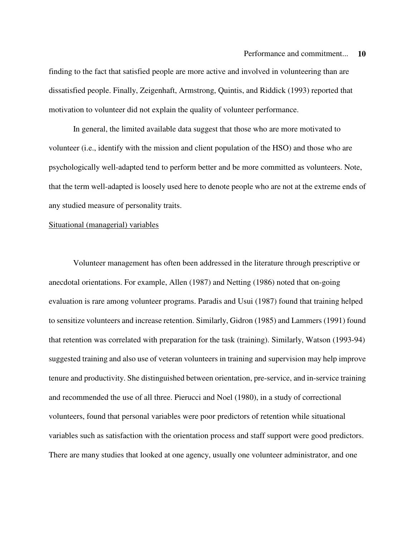finding to the fact that satisfied people are more active and involved in volunteering than are dissatisfied people. Finally, Zeigenhaft, Armstrong, Quintis, and Riddick (1993) reported that motivation to volunteer did not explain the quality of volunteer performance.

In general, the limited available data suggest that those who are more motivated to volunteer (i.e., identify with the mission and client population of the HSO) and those who are psychologically well-adapted tend to perform better and be more committed as volunteers. Note, that the term well-adapted is loosely used here to denote people who are not at the extreme ends of any studied measure of personality traits.

#### Situational (managerial) variables

Volunteer management has often been addressed in the literature through prescriptive or anecdotal orientations. For example, Allen (1987) and Netting (1986) noted that on-going evaluation is rare among volunteer programs. Paradis and Usui (1987) found that training helped to sensitize volunteers and increase retention. Similarly, Gidron (1985) and Lammers (1991) found that retention was correlated with preparation for the task (training). Similarly, Watson (1993-94) suggested training and also use of veteran volunteers in training and supervision may help improve tenure and productivity. She distinguished between orientation, pre-service, and in-service training and recommended the use of all three. Pierucci and Noel (1980), in a study of correctional volunteers, found that personal variables were poor predictors of retention while situational variables such as satisfaction with the orientation process and staff support were good predictors. There are many studies that looked at one agency, usually one volunteer administrator, and one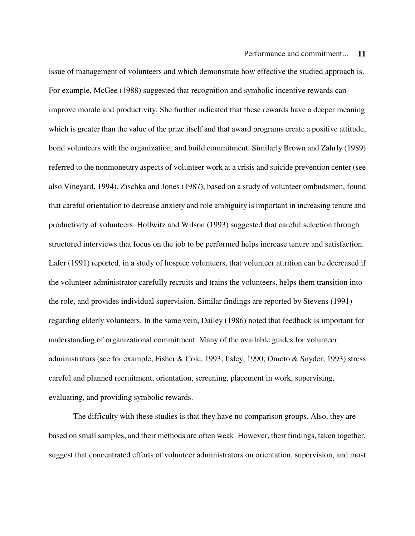issue of management of volunteers and which demonstrate how effective the studied approach is. For example, McGee (1988) suggested that recognition and symbolic incentive rewards can improve morale and productivity. She further indicated that these rewards have a deeper meaning which is greater than the value of the prize itself and that award programs create a positive attitude, bond volunteers with the organization, and build commitment. Similarly Brown and Zahrly (1989) referred to the nonmonetary aspects of volunteer work at a crisis and suicide prevention center (see also Vineyard, 1994). Zischka and Jones (1987), based on a study of volunteer ombudsmen, found that careful orientation to decrease anxiety and role ambiguity is important in increasing tenure and productivity of volunteers. Hollwitz and Wilson (1993) suggested that careful selection through structured interviews that focus on the job to be performed helps increase tenure and satisfaction. Lafer (1991) reported, in a study of hospice volunteers, that volunteer attrition can be decreased if the volunteer administrator carefully recruits and trains the volunteers, helps them transition into the role, and provides individual supervision. Similar findings are reported by Stevens (1991) regarding elderly volunteers. In the same vein, Dailey (1986) noted that feedback is important for understanding of organizational commitment. Many of the available guides for volunteer administrators (see for example, Fisher & Cole, 1993; Ilsley, 1990; Omoto & Snyder, 1993) stress careful and planned recruitment, orientation, screening, placement in work, supervising, evaluating, and providing symbolic rewards.

The difficulty with these studies is that they have no comparison groups. Also, they are based on small samples, and their methods are often weak. However, their findings, taken together, suggest that concentrated efforts of volunteer administrators on orientation, supervision, and most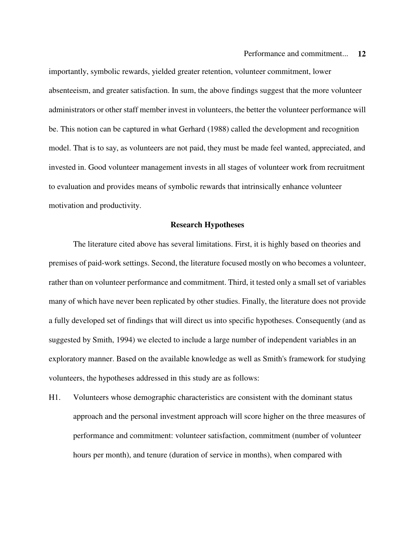importantly, symbolic rewards, yielded greater retention, volunteer commitment, lower absenteeism, and greater satisfaction. In sum, the above findings suggest that the more volunteer administrators or other staff member invest in volunteers, the better the volunteer performance will be. This notion can be captured in what Gerhard (1988) called the development and recognition model. That is to say, as volunteers are not paid, they must be made feel wanted, appreciated, and invested in. Good volunteer management invests in all stages of volunteer work from recruitment to evaluation and provides means of symbolic rewards that intrinsically enhance volunteer motivation and productivity.

#### **Research Hypotheses**

The literature cited above has several limitations. First, it is highly based on theories and premises of paid-work settings. Second, the literature focused mostly on who becomes a volunteer, rather than on volunteer performance and commitment. Third, it tested only a small set of variables many of which have never been replicated by other studies. Finally, the literature does not provide a fully developed set of findings that will direct us into specific hypotheses. Consequently (and as suggested by Smith, 1994) we elected to include a large number of independent variables in an exploratory manner. Based on the available knowledge as well as Smith's framework for studying volunteers, the hypotheses addressed in this study are as follows:

H1. Volunteers whose demographic characteristics are consistent with the dominant status approach and the personal investment approach will score higher on the three measures of performance and commitment: volunteer satisfaction, commitment (number of volunteer hours per month), and tenure (duration of service in months), when compared with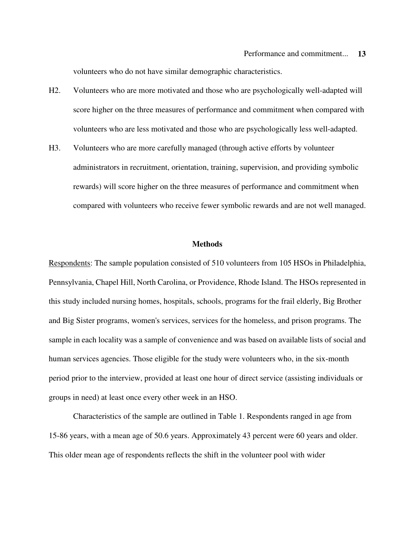volunteers who do not have similar demographic characteristics.

- H2. Volunteers who are more motivated and those who are psychologically well-adapted will score higher on the three measures of performance and commitment when compared with volunteers who are less motivated and those who are psychologically less well-adapted.
- H3. Volunteers who are more carefully managed (through active efforts by volunteer administrators in recruitment, orientation, training, supervision, and providing symbolic rewards) will score higher on the three measures of performance and commitment when compared with volunteers who receive fewer symbolic rewards and are not well managed.

#### **Methods**

Respondents: The sample population consisted of 510 volunteers from 105 HSOs in Philadelphia, Pennsylvania, Chapel Hill, North Carolina, or Providence, Rhode Island. The HSOs represented in this study included nursing homes, hospitals, schools, programs for the frail elderly, Big Brother and Big Sister programs, women's services, services for the homeless, and prison programs. The sample in each locality was a sample of convenience and was based on available lists of social and human services agencies. Those eligible for the study were volunteers who, in the six-month period prior to the interview, provided at least one hour of direct service (assisting individuals or groups in need) at least once every other week in an HSO.

Characteristics of the sample are outlined in Table 1. Respondents ranged in age from 15-86 years, with a mean age of 50.6 years. Approximately 43 percent were 60 years and older. This older mean age of respondents reflects the shift in the volunteer pool with wider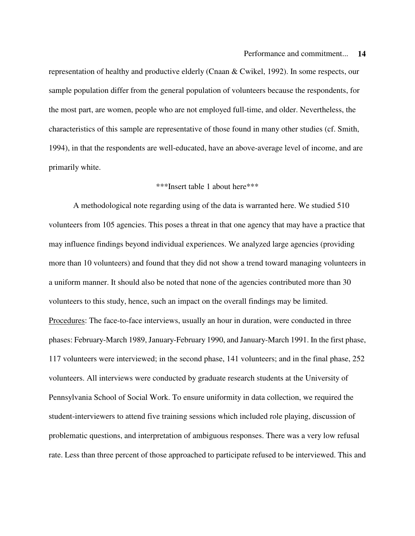representation of healthy and productive elderly (Cnaan & Cwikel, 1992). In some respects, our sample population differ from the general population of volunteers because the respondents, for the most part, are women, people who are not employed full-time, and older. Nevertheless, the characteristics of this sample are representative of those found in many other studies (cf. Smith, 1994), in that the respondents are well-educated, have an above-average level of income, and are primarily white.

## \*\*\*Insert table 1 about here\*\*\*

A methodological note regarding using of the data is warranted here. We studied 510 volunteers from 105 agencies. This poses a threat in that one agency that may have a practice that may influence findings beyond individual experiences. We analyzed large agencies (providing more than 10 volunteers) and found that they did not show a trend toward managing volunteers in a uniform manner. It should also be noted that none of the agencies contributed more than 30 volunteers to this study, hence, such an impact on the overall findings may be limited. Procedures: The face-to-face interviews, usually an hour in duration, were conducted in three phases: February-March 1989, January-February 1990, and January-March 1991. In the first phase, 117 volunteers were interviewed; in the second phase, 141 volunteers; and in the final phase, 252 volunteers. All interviews were conducted by graduate research students at the University of Pennsylvania School of Social Work. To ensure uniformity in data collection, we required the student-interviewers to attend five training sessions which included role playing, discussion of problematic questions, and interpretation of ambiguous responses. There was a very low refusal rate. Less than three percent of those approached to participate refused to be interviewed. This and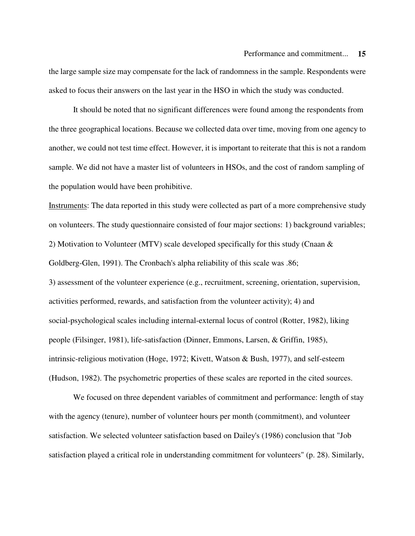the large sample size may compensate for the lack of randomness in the sample. Respondents were asked to focus their answers on the last year in the HSO in which the study was conducted.

It should be noted that no significant differences were found among the respondents from the three geographical locations. Because we collected data over time, moving from one agency to another, we could not test time effect. However, it is important to reiterate that this is not a random sample. We did not have a master list of volunteers in HSOs, and the cost of random sampling of the population would have been prohibitive.

Instruments: The data reported in this study were collected as part of a more comprehensive study on volunteers. The study questionnaire consisted of four major sections: 1) background variables; 2) Motivation to Volunteer (MTV) scale developed specifically for this study (Cnaan & Goldberg-Glen, 1991). The Cronbach's alpha reliability of this scale was .86;

3) assessment of the volunteer experience (e.g., recruitment, screening, orientation, supervision, activities performed, rewards, and satisfaction from the volunteer activity); 4) and social-psychological scales including internal-external locus of control (Rotter, 1982), liking people (Filsinger, 1981), life-satisfaction (Dinner, Emmons, Larsen, & Griffin, 1985), intrinsic-religious motivation (Hoge, 1972; Kivett, Watson & Bush, 1977), and self-esteem (Hudson, 1982). The psychometric properties of these scales are reported in the cited sources.

We focused on three dependent variables of commitment and performance: length of stay with the agency (tenure), number of volunteer hours per month (commitment), and volunteer satisfaction. We selected volunteer satisfaction based on Dailey's (1986) conclusion that "Job satisfaction played a critical role in understanding commitment for volunteers" (p. 28). Similarly,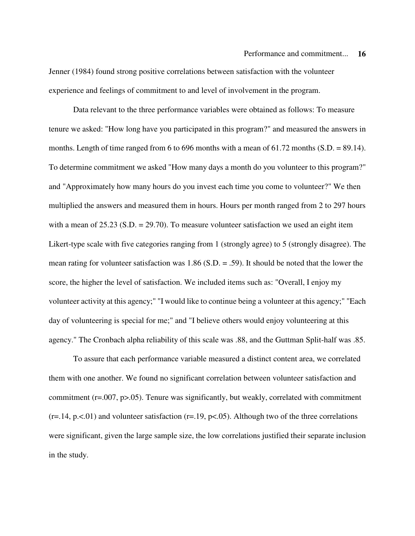Jenner (1984) found strong positive correlations between satisfaction with the volunteer experience and feelings of commitment to and level of involvement in the program.

Data relevant to the three performance variables were obtained as follows: To measure tenure we asked: "How long have you participated in this program?" and measured the answers in months. Length of time ranged from 6 to 696 months with a mean of  $61.72$  months (S.D. = 89.14). To determine commitment we asked "How many days a month do you volunteer to this program?" and "Approximately how many hours do you invest each time you come to volunteer?" We then multiplied the answers and measured them in hours. Hours per month ranged from 2 to 297 hours with a mean of  $25.23$  (S.D. =  $29.70$ ). To measure volunteer satisfaction we used an eight item Likert-type scale with five categories ranging from 1 (strongly agree) to 5 (strongly disagree). The mean rating for volunteer satisfaction was 1.86 (S.D. = .59). It should be noted that the lower the score, the higher the level of satisfaction. We included items such as: "Overall, I enjoy my volunteer activity at this agency;" "I would like to continue being a volunteer at this agency;" "Each day of volunteering is special for me;" and "I believe others would enjoy volunteering at this agency." The Cronbach alpha reliability of this scale was .88, and the Guttman Split-half was .85.

To assure that each performance variable measured a distinct content area, we correlated them with one another. We found no significant correlation between volunteer satisfaction and commitment (r=.007, p>.05). Tenure was significantly, but weakly, correlated with commitment  $(r=.14, p.<01)$  and volunteer satisfaction  $(r=.19, p<0.05)$ . Although two of the three correlations were significant, given the large sample size, the low correlations justified their separate inclusion in the study.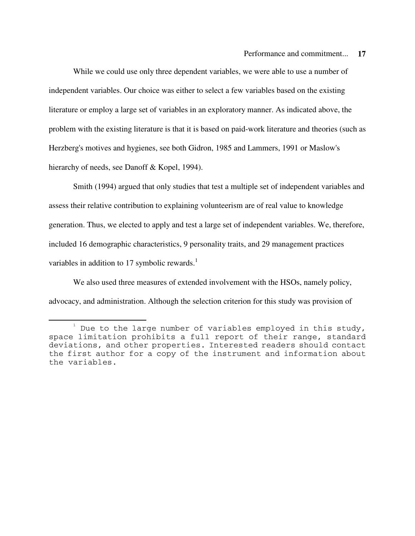While we could use only three dependent variables, we were able to use a number of independent variables. Our choice was either to select a few variables based on the existing literature or employ a large set of variables in an exploratory manner. As indicated above, the problem with the existing literature is that it is based on paid-work literature and theories (such as Herzberg's motives and hygienes, see both Gidron, 1985 and Lammers, 1991 or Maslow's hierarchy of needs, see Danoff & Kopel, 1994).

Smith (1994) argued that only studies that test a multiple set of independent variables and assess their relative contribution to explaining volunteerism are of real value to knowledge generation. Thus, we elected to apply and test a large set of independent variables. We, therefore, included 16 demographic characteristics, 9 personality traits, and 29 management practices variables in addition to 17 symbolic rewards.<sup>1</sup>

We also used three measures of extended involvement with the HSOs, namely policy, advocacy, and administration. Although the selection criterion for this study was provision of

 $^1$  Due to the large number of variables employed in this study, space limitation prohibits a full report of their range, standard deviations, and other properties. Interested readers should contact the first author for a copy of the instrument and information about the variables.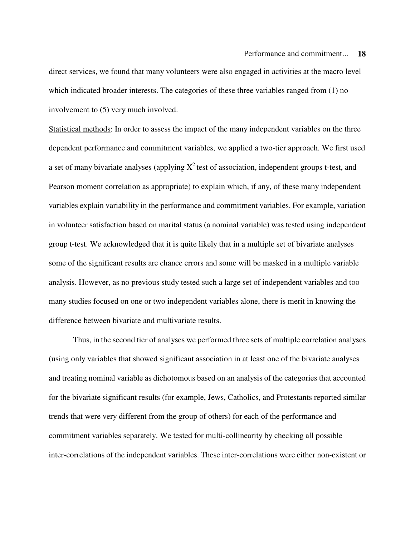direct services, we found that many volunteers were also engaged in activities at the macro level which indicated broader interests. The categories of these three variables ranged from (1) no involvement to (5) very much involved.

Statistical methods: In order to assess the impact of the many independent variables on the three dependent performance and commitment variables, we applied a two-tier approach. We first used a set of many bivariate analyses (applying  $X^2$  test of association, independent groups t-test, and Pearson moment correlation as appropriate) to explain which, if any, of these many independent variables explain variability in the performance and commitment variables. For example, variation in volunteer satisfaction based on marital status (a nominal variable) was tested using independent group t-test. We acknowledged that it is quite likely that in a multiple set of bivariate analyses some of the significant results are chance errors and some will be masked in a multiple variable analysis. However, as no previous study tested such a large set of independent variables and too many studies focused on one or two independent variables alone, there is merit in knowing the difference between bivariate and multivariate results.

Thus, in the second tier of analyses we performed three sets of multiple correlation analyses (using only variables that showed significant association in at least one of the bivariate analyses and treating nominal variable as dichotomous based on an analysis of the categories that accounted for the bivariate significant results (for example, Jews, Catholics, and Protestants reported similar trends that were very different from the group of others) for each of the performance and commitment variables separately. We tested for multi-collinearity by checking all possible inter-correlations of the independent variables. These inter-correlations were either non-existent or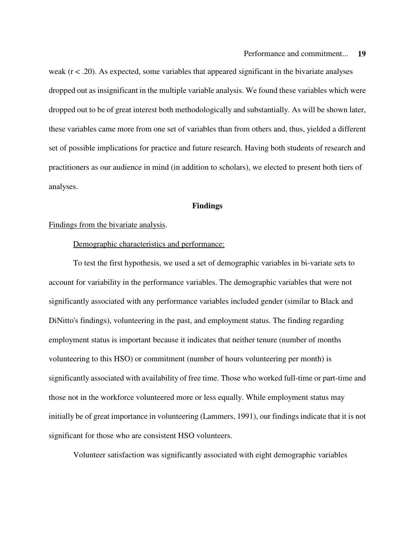weak  $(r < .20)$ . As expected, some variables that appeared significant in the bivariate analyses dropped out as insignificant in the multiple variable analysis. We found these variables which were dropped out to be of great interest both methodologically and substantially. As will be shown later, these variables came more from one set of variables than from others and, thus, yielded a different set of possible implications for practice and future research. Having both students of research and practitioners as our audience in mind (in addition to scholars), we elected to present both tiers of analyses.

#### **Findings**

#### Findings from the bivariate analysis.

#### Demographic characteristics and performance:

To test the first hypothesis, we used a set of demographic variables in bi-variate sets to account for variability in the performance variables. The demographic variables that were not significantly associated with any performance variables included gender (similar to Black and DiNitto's findings), volunteering in the past, and employment status. The finding regarding employment status is important because it indicates that neither tenure (number of months volunteering to this HSO) or commitment (number of hours volunteering per month) is significantly associated with availability of free time. Those who worked full-time or part-time and those not in the workforce volunteered more or less equally. While employment status may initially be of great importance in volunteering (Lammers, 1991), our findings indicate that it is not significant for those who are consistent HSO volunteers.

Volunteer satisfaction was significantly associated with eight demographic variables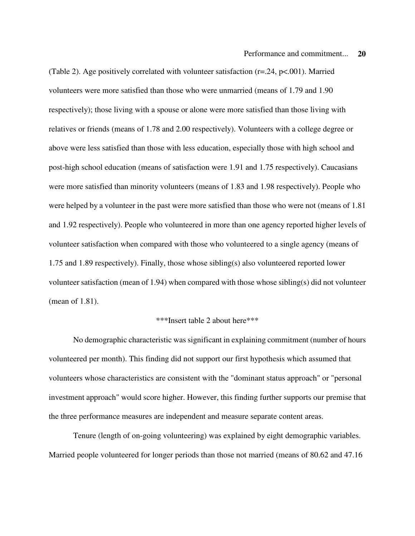(Table 2). Age positively correlated with volunteer satisfaction ( $r=24$ ,  $p<001$ ). Married volunteers were more satisfied than those who were unmarried (means of 1.79 and 1.90 respectively); those living with a spouse or alone were more satisfied than those living with relatives or friends (means of 1.78 and 2.00 respectively). Volunteers with a college degree or above were less satisfied than those with less education, especially those with high school and post-high school education (means of satisfaction were 1.91 and 1.75 respectively). Caucasians were more satisfied than minority volunteers (means of 1.83 and 1.98 respectively). People who were helped by a volunteer in the past were more satisfied than those who were not (means of 1.81 and 1.92 respectively). People who volunteered in more than one agency reported higher levels of volunteer satisfaction when compared with those who volunteered to a single agency (means of 1.75 and 1.89 respectively). Finally, those whose sibling(s) also volunteered reported lower volunteer satisfaction (mean of 1.94) when compared with those whose sibling(s) did not volunteer (mean of 1.81).

#### \*\*\*Insert table 2 about here\*\*\*

No demographic characteristic was significant in explaining commitment (number of hours volunteered per month). This finding did not support our first hypothesis which assumed that volunteers whose characteristics are consistent with the "dominant status approach" or "personal investment approach" would score higher. However, this finding further supports our premise that the three performance measures are independent and measure separate content areas.

Tenure (length of on-going volunteering) was explained by eight demographic variables. Married people volunteered for longer periods than those not married (means of 80.62 and 47.16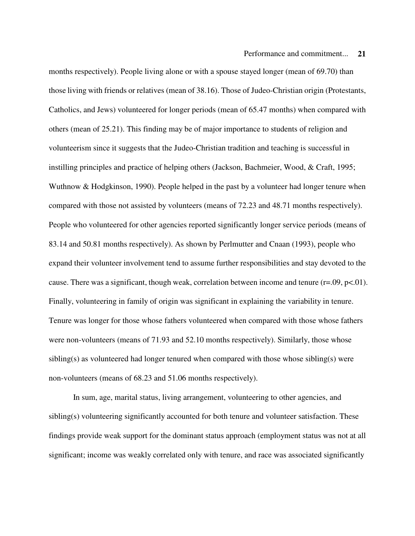months respectively). People living alone or with a spouse stayed longer (mean of 69.70) than those living with friends or relatives (mean of 38.16). Those of Judeo-Christian origin (Protestants, Catholics, and Jews) volunteered for longer periods (mean of 65.47 months) when compared with others (mean of 25.21). This finding may be of major importance to students of religion and volunteerism since it suggests that the Judeo-Christian tradition and teaching is successful in instilling principles and practice of helping others (Jackson, Bachmeier, Wood, & Craft, 1995; Wuthnow & Hodgkinson, 1990). People helped in the past by a volunteer had longer tenure when compared with those not assisted by volunteers (means of 72.23 and 48.71 months respectively). People who volunteered for other agencies reported significantly longer service periods (means of 83.14 and 50.81 months respectively). As shown by Perlmutter and Cnaan (1993), people who expand their volunteer involvement tend to assume further responsibilities and stay devoted to the cause. There was a significant, though weak, correlation between income and tenure  $(r=.09, p<.01)$ . Finally, volunteering in family of origin was significant in explaining the variability in tenure. Tenure was longer for those whose fathers volunteered when compared with those whose fathers were non-volunteers (means of 71.93 and 52.10 months respectively). Similarly, those whose sibling(s) as volunteered had longer tenured when compared with those whose sibling(s) were non-volunteers (means of 68.23 and 51.06 months respectively).

In sum, age, marital status, living arrangement, volunteering to other agencies, and sibling(s) volunteering significantly accounted for both tenure and volunteer satisfaction. These findings provide weak support for the dominant status approach (employment status was not at all significant; income was weakly correlated only with tenure, and race was associated significantly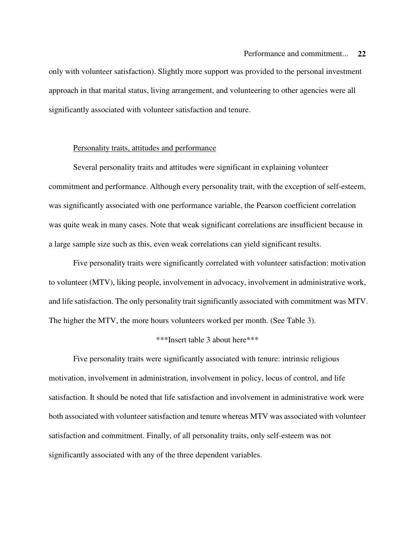only with volunteer satisfaction). Slightly more support was provided to the personal investment approach in that marital status, living arrangement, and volunteering to other agencies were all significantly associated with volunteer satisfaction and tenure.

#### Personality traits, attitudes and performance

Several personality traits and attitudes were significant in explaining volunteer commitment and performance. Although every personality trait, with the exception of self-esteem, was significantly associated with one performance variable, the Pearson coefficient correlation was quite weak in many cases. Note that weak significant correlations are insufficient because in a large sample size such as this, even weak correlations can yield significant results.

Five personality traits were significantly correlated with volunteer satisfaction: motivation to volunteer (MTV), liking people, involvement in advocacy, involvement in administrative work, and life satisfaction. The only personality trait significantly associated with commitment was MTV. The higher the MTV, the more hours volunteers worked per month. (See Table 3).

## \*\*\*Insert table 3 about here\*\*\*

Five personality traits were significantly associated with tenure: intrinsic religious motivation, involvement in administration, involvement in policy, locus of control, and life satisfaction. It should be noted that life satisfaction and involvement in administrative work were both associated with volunteer satisfaction and tenure whereas MTV was associated with volunteer satisfaction and commitment. Finally, of all personality traits, only self-esteem was not significantly associated with any of the three dependent variables.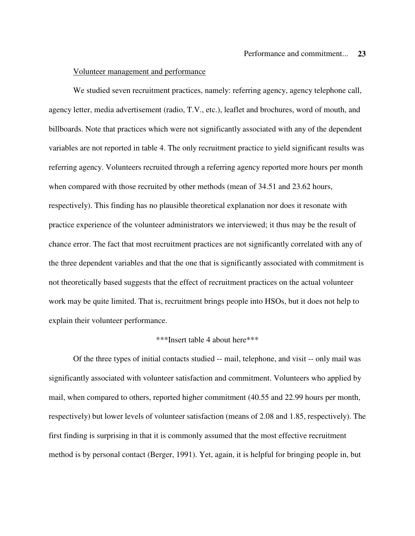#### Volunteer management and performance

We studied seven recruitment practices, namely: referring agency, agency telephone call, agency letter, media advertisement (radio, T.V., etc.), leaflet and brochures, word of mouth, and billboards. Note that practices which were not significantly associated with any of the dependent variables are not reported in table 4. The only recruitment practice to yield significant results was referring agency. Volunteers recruited through a referring agency reported more hours per month when compared with those recruited by other methods (mean of 34.51 and 23.62 hours, respectively). This finding has no plausible theoretical explanation nor does it resonate with practice experience of the volunteer administrators we interviewed; it thus may be the result of chance error. The fact that most recruitment practices are not significantly correlated with any of the three dependent variables and that the one that is significantly associated with commitment is not theoretically based suggests that the effect of recruitment practices on the actual volunteer work may be quite limited. That is, recruitment brings people into HSOs, but it does not help to explain their volunteer performance.

#### \*\*\*Insert table 4 about here\*\*\*

Of the three types of initial contacts studied -- mail, telephone, and visit -- only mail was significantly associated with volunteer satisfaction and commitment. Volunteers who applied by mail, when compared to others, reported higher commitment (40.55 and 22.99 hours per month, respectively) but lower levels of volunteer satisfaction (means of 2.08 and 1.85, respectively). The first finding is surprising in that it is commonly assumed that the most effective recruitment method is by personal contact (Berger, 1991). Yet, again, it is helpful for bringing people in, but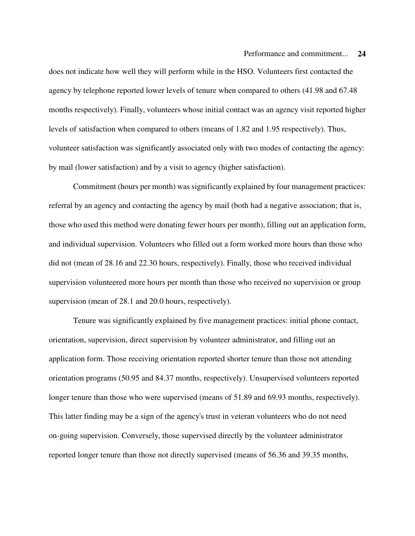does not indicate how well they will perform while in the HSO. Volunteers first contacted the agency by telephone reported lower levels of tenure when compared to others (41.98 and 67.48 months respectively). Finally, volunteers whose initial contact was an agency visit reported higher levels of satisfaction when compared to others (means of 1.82 and 1.95 respectively). Thus, volunteer satisfaction was significantly associated only with two modes of contacting the agency: by mail (lower satisfaction) and by a visit to agency (higher satisfaction).

Commitment (hours per month) was significantly explained by four management practices: referral by an agency and contacting the agency by mail (both had a negative association; that is, those who used this method were donating fewer hours per month), filling out an application form, and individual supervision. Volunteers who filled out a form worked more hours than those who did not (mean of 28.16 and 22.30 hours, respectively). Finally, those who received individual supervision volunteered more hours per month than those who received no supervision or group supervision (mean of 28.1 and 20.0 hours, respectively).

Tenure was significantly explained by five management practices: initial phone contact, orientation, supervision, direct supervision by volunteer administrator, and filling out an application form. Those receiving orientation reported shorter tenure than those not attending orientation programs (50.95 and 84.37 months, respectively). Unsupervised volunteers reported longer tenure than those who were supervised (means of 51.89 and 69.93 months, respectively). This latter finding may be a sign of the agency's trust in veteran volunteers who do not need on-going supervision. Conversely, those supervised directly by the volunteer administrator reported longer tenure than those not directly supervised (means of 56.36 and 39.35 months,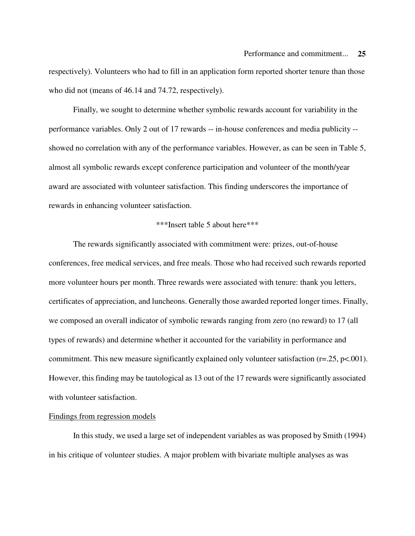respectively). Volunteers who had to fill in an application form reported shorter tenure than those who did not (means of 46.14 and 74.72, respectively).

Finally, we sought to determine whether symbolic rewards account for variability in the performance variables. Only 2 out of 17 rewards -- in-house conferences and media publicity - showed no correlation with any of the performance variables. However, as can be seen in Table 5, almost all symbolic rewards except conference participation and volunteer of the month/year award are associated with volunteer satisfaction. This finding underscores the importance of rewards in enhancing volunteer satisfaction.

#### \*\*\*Insert table 5 about here\*\*\*

The rewards significantly associated with commitment were: prizes, out-of-house conferences, free medical services, and free meals. Those who had received such rewards reported more volunteer hours per month. Three rewards were associated with tenure: thank you letters, certificates of appreciation, and luncheons. Generally those awarded reported longer times. Finally, we composed an overall indicator of symbolic rewards ranging from zero (no reward) to 17 (all types of rewards) and determine whether it accounted for the variability in performance and commitment. This new measure significantly explained only volunteer satisfaction ( $r = 25$ ,  $p < .001$ ). However, this finding may be tautological as 13 out of the 17 rewards were significantly associated with volunteer satisfaction.

#### Findings from regression models

In this study, we used a large set of independent variables as was proposed by Smith (1994) in his critique of volunteer studies. A major problem with bivariate multiple analyses as was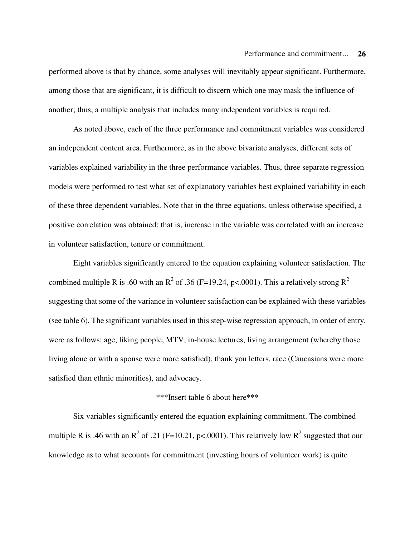performed above is that by chance, some analyses will inevitably appear significant. Furthermore, among those that are significant, it is difficult to discern which one may mask the influence of another; thus, a multiple analysis that includes many independent variables is required.

As noted above, each of the three performance and commitment variables was considered an independent content area. Furthermore, as in the above bivariate analyses, different sets of variables explained variability in the three performance variables. Thus, three separate regression models were performed to test what set of explanatory variables best explained variability in each of these three dependent variables. Note that in the three equations, unless otherwise specified, a positive correlation was obtained; that is, increase in the variable was correlated with an increase in volunteer satisfaction, tenure or commitment.

Eight variables significantly entered to the equation explaining volunteer satisfaction. The combined multiple R is .60 with an  $R^2$  of .36 (F=19.24, p<.0001). This a relatively strong  $R^2$ suggesting that some of the variance in volunteer satisfaction can be explained with these variables (see table 6). The significant variables used in this step-wise regression approach, in order of entry, were as follows: age, liking people, MTV, in-house lectures, living arrangement (whereby those living alone or with a spouse were more satisfied), thank you letters, race (Caucasians were more satisfied than ethnic minorities), and advocacy.

#### \*\*\*Insert table 6 about here\*\*\*

Six variables significantly entered the equation explaining commitment. The combined multiple R is .46 with an  $R^2$  of .21 (F=10.21, p<.0001). This relatively low  $R^2$  suggested that our knowledge as to what accounts for commitment (investing hours of volunteer work) is quite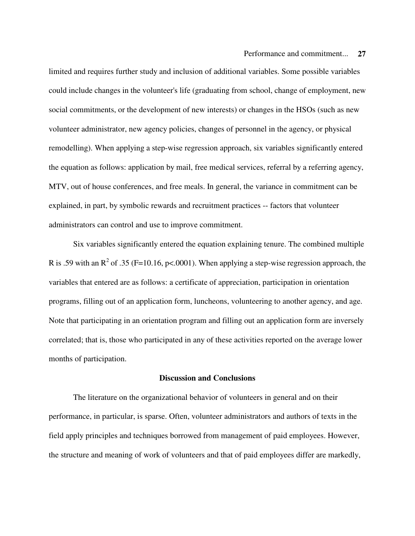limited and requires further study and inclusion of additional variables. Some possible variables could include changes in the volunteer's life (graduating from school, change of employment, new social commitments, or the development of new interests) or changes in the HSOs (such as new volunteer administrator, new agency policies, changes of personnel in the agency, or physical remodelling). When applying a step-wise regression approach, six variables significantly entered the equation as follows: application by mail, free medical services, referral by a referring agency, MTV, out of house conferences, and free meals. In general, the variance in commitment can be explained, in part, by symbolic rewards and recruitment practices -- factors that volunteer administrators can control and use to improve commitment.

Six variables significantly entered the equation explaining tenure. The combined multiple R is .59 with an  $R^2$  of .35 (F=10.16, p<.0001). When applying a step-wise regression approach, the variables that entered are as follows: a certificate of appreciation, participation in orientation programs, filling out of an application form, luncheons, volunteering to another agency, and age. Note that participating in an orientation program and filling out an application form are inversely correlated; that is, those who participated in any of these activities reported on the average lower months of participation.

#### **Discussion and Conclusions**

The literature on the organizational behavior of volunteers in general and on their performance, in particular, is sparse. Often, volunteer administrators and authors of texts in the field apply principles and techniques borrowed from management of paid employees. However, the structure and meaning of work of volunteers and that of paid employees differ are markedly,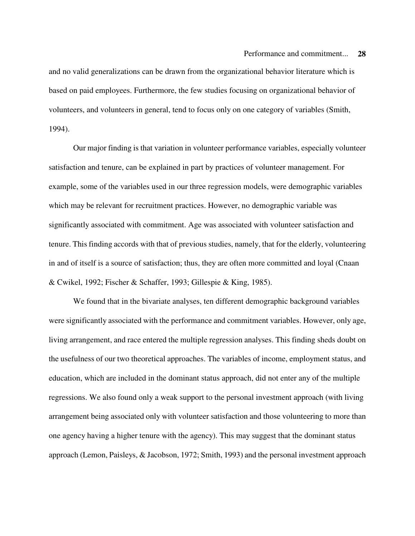and no valid generalizations can be drawn from the organizational behavior literature which is based on paid employees. Furthermore, the few studies focusing on organizational behavior of volunteers, and volunteers in general, tend to focus only on one category of variables (Smith, 1994).

Our major finding is that variation in volunteer performance variables, especially volunteer satisfaction and tenure, can be explained in part by practices of volunteer management. For example, some of the variables used in our three regression models, were demographic variables which may be relevant for recruitment practices. However, no demographic variable was significantly associated with commitment. Age was associated with volunteer satisfaction and tenure. This finding accords with that of previous studies, namely, that for the elderly, volunteering in and of itself is a source of satisfaction; thus, they are often more committed and loyal (Cnaan & Cwikel, 1992; Fischer & Schaffer, 1993; Gillespie & King, 1985).

We found that in the bivariate analyses, ten different demographic background variables were significantly associated with the performance and commitment variables. However, only age, living arrangement, and race entered the multiple regression analyses. This finding sheds doubt on the usefulness of our two theoretical approaches. The variables of income, employment status, and education, which are included in the dominant status approach, did not enter any of the multiple regressions. We also found only a weak support to the personal investment approach (with living arrangement being associated only with volunteer satisfaction and those volunteering to more than one agency having a higher tenure with the agency). This may suggest that the dominant status approach (Lemon, Paisleys, & Jacobson, 1972; Smith, 1993) and the personal investment approach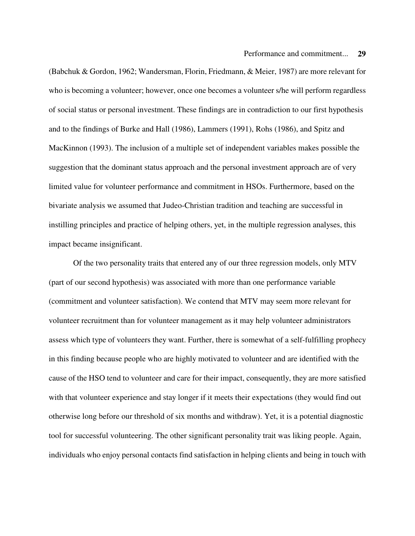(Babchuk & Gordon, 1962; Wandersman, Florin, Friedmann, & Meier, 1987) are more relevant for who is becoming a volunteer; however, once one becomes a volunteer s/he will perform regardless of social status or personal investment. These findings are in contradiction to our first hypothesis and to the findings of Burke and Hall (1986), Lammers (1991), Rohs (1986), and Spitz and MacKinnon (1993). The inclusion of a multiple set of independent variables makes possible the suggestion that the dominant status approach and the personal investment approach are of very limited value for volunteer performance and commitment in HSOs. Furthermore, based on the bivariate analysis we assumed that Judeo-Christian tradition and teaching are successful in instilling principles and practice of helping others, yet, in the multiple regression analyses, this impact became insignificant.

Of the two personality traits that entered any of our three regression models, only MTV (part of our second hypothesis) was associated with more than one performance variable (commitment and volunteer satisfaction). We contend that MTV may seem more relevant for volunteer recruitment than for volunteer management as it may help volunteer administrators assess which type of volunteers they want. Further, there is somewhat of a self-fulfilling prophecy in this finding because people who are highly motivated to volunteer and are identified with the cause of the HSO tend to volunteer and care for their impact, consequently, they are more satisfied with that volunteer experience and stay longer if it meets their expectations (they would find out otherwise long before our threshold of six months and withdraw). Yet, it is a potential diagnostic tool for successful volunteering. The other significant personality trait was liking people. Again, individuals who enjoy personal contacts find satisfaction in helping clients and being in touch with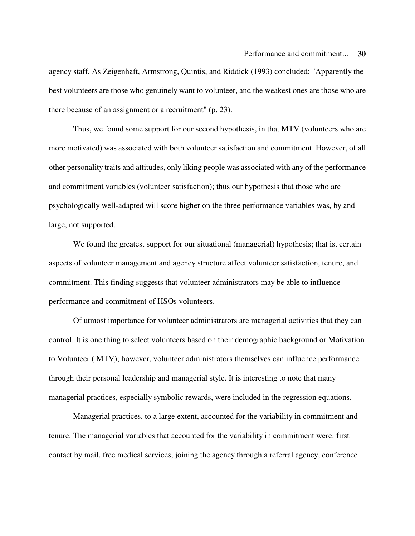agency staff. As Zeigenhaft, Armstrong, Quintis, and Riddick (1993) concluded: "Apparently the best volunteers are those who genuinely want to volunteer, and the weakest ones are those who are there because of an assignment or a recruitment" (p. 23).

Thus, we found some support for our second hypothesis, in that MTV (volunteers who are more motivated) was associated with both volunteer satisfaction and commitment. However, of all other personality traits and attitudes, only liking people was associated with any of the performance and commitment variables (volunteer satisfaction); thus our hypothesis that those who are psychologically well-adapted will score higher on the three performance variables was, by and large, not supported.

We found the greatest support for our situational (managerial) hypothesis; that is, certain aspects of volunteer management and agency structure affect volunteer satisfaction, tenure, and commitment. This finding suggests that volunteer administrators may be able to influence performance and commitment of HSOs volunteers.

Of utmost importance for volunteer administrators are managerial activities that they can control. It is one thing to select volunteers based on their demographic background or Motivation to Volunteer ( MTV); however, volunteer administrators themselves can influence performance through their personal leadership and managerial style. It is interesting to note that many managerial practices, especially symbolic rewards, were included in the regression equations.

Managerial practices, to a large extent, accounted for the variability in commitment and tenure. The managerial variables that accounted for the variability in commitment were: first contact by mail, free medical services, joining the agency through a referral agency, conference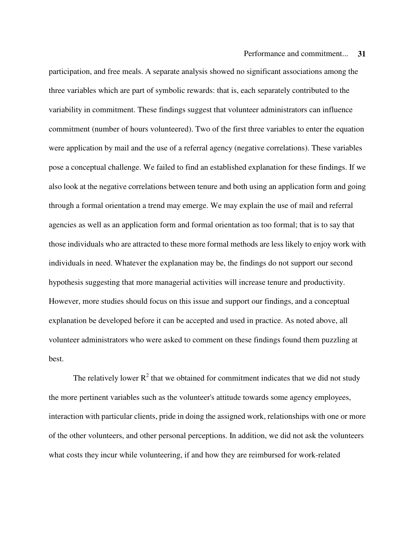participation, and free meals. A separate analysis showed no significant associations among the three variables which are part of symbolic rewards: that is, each separately contributed to the variability in commitment. These findings suggest that volunteer administrators can influence commitment (number of hours volunteered). Two of the first three variables to enter the equation were application by mail and the use of a referral agency (negative correlations). These variables pose a conceptual challenge. We failed to find an established explanation for these findings. If we also look at the negative correlations between tenure and both using an application form and going through a formal orientation a trend may emerge. We may explain the use of mail and referral agencies as well as an application form and formal orientation as too formal; that is to say that those individuals who are attracted to these more formal methods are less likely to enjoy work with individuals in need. Whatever the explanation may be, the findings do not support our second hypothesis suggesting that more managerial activities will increase tenure and productivity. However, more studies should focus on this issue and support our findings, and a conceptual explanation be developed before it can be accepted and used in practice. As noted above, all volunteer administrators who were asked to comment on these findings found them puzzling at best.

The relatively lower  $R^2$  that we obtained for commitment indicates that we did not study the more pertinent variables such as the volunteer's attitude towards some agency employees, interaction with particular clients, pride in doing the assigned work, relationships with one or more of the other volunteers, and other personal perceptions. In addition, we did not ask the volunteers what costs they incur while volunteering, if and how they are reimbursed for work-related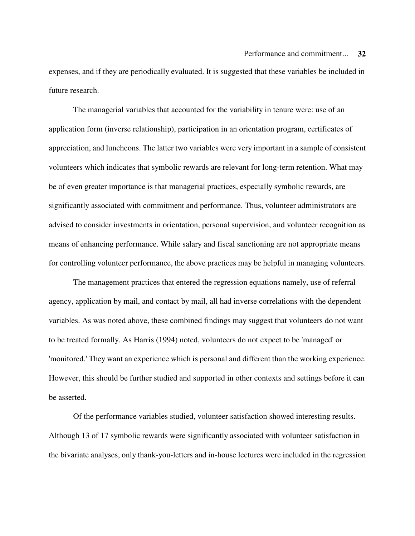expenses, and if they are periodically evaluated. It is suggested that these variables be included in future research.

The managerial variables that accounted for the variability in tenure were: use of an application form (inverse relationship), participation in an orientation program, certificates of appreciation, and luncheons. The latter two variables were very important in a sample of consistent volunteers which indicates that symbolic rewards are relevant for long-term retention. What may be of even greater importance is that managerial practices, especially symbolic rewards, are significantly associated with commitment and performance. Thus, volunteer administrators are advised to consider investments in orientation, personal supervision, and volunteer recognition as means of enhancing performance. While salary and fiscal sanctioning are not appropriate means for controlling volunteer performance, the above practices may be helpful in managing volunteers.

The management practices that entered the regression equations namely, use of referral agency, application by mail, and contact by mail, all had inverse correlations with the dependent variables. As was noted above, these combined findings may suggest that volunteers do not want to be treated formally. As Harris (1994) noted, volunteers do not expect to be 'managed' or 'monitored.' They want an experience which is personal and different than the working experience. However, this should be further studied and supported in other contexts and settings before it can be asserted.

Of the performance variables studied, volunteer satisfaction showed interesting results. Although 13 of 17 symbolic rewards were significantly associated with volunteer satisfaction in the bivariate analyses, only thank-you-letters and in-house lectures were included in the regression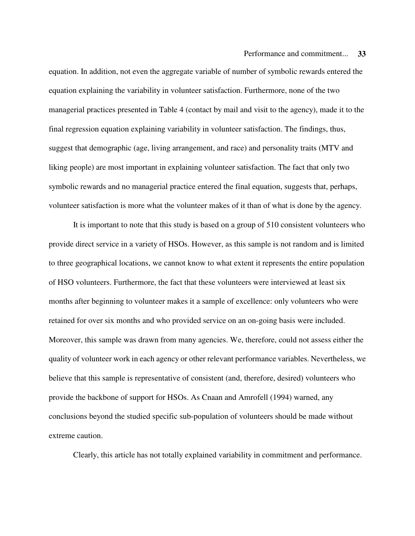equation. In addition, not even the aggregate variable of number of symbolic rewards entered the equation explaining the variability in volunteer satisfaction. Furthermore, none of the two managerial practices presented in Table 4 (contact by mail and visit to the agency), made it to the final regression equation explaining variability in volunteer satisfaction. The findings, thus, suggest that demographic (age, living arrangement, and race) and personality traits (MTV and liking people) are most important in explaining volunteer satisfaction. The fact that only two symbolic rewards and no managerial practice entered the final equation, suggests that, perhaps, volunteer satisfaction is more what the volunteer makes of it than of what is done by the agency.

It is important to note that this study is based on a group of 510 consistent volunteers who provide direct service in a variety of HSOs. However, as this sample is not random and is limited to three geographical locations, we cannot know to what extent it represents the entire population of HSO volunteers. Furthermore, the fact that these volunteers were interviewed at least six months after beginning to volunteer makes it a sample of excellence: only volunteers who were retained for over six months and who provided service on an on-going basis were included. Moreover, this sample was drawn from many agencies. We, therefore, could not assess either the quality of volunteer work in each agency or other relevant performance variables. Nevertheless, we believe that this sample is representative of consistent (and, therefore, desired) volunteers who provide the backbone of support for HSOs. As Cnaan and Amrofell (1994) warned, any conclusions beyond the studied specific sub-population of volunteers should be made without extreme caution.

Clearly, this article has not totally explained variability in commitment and performance.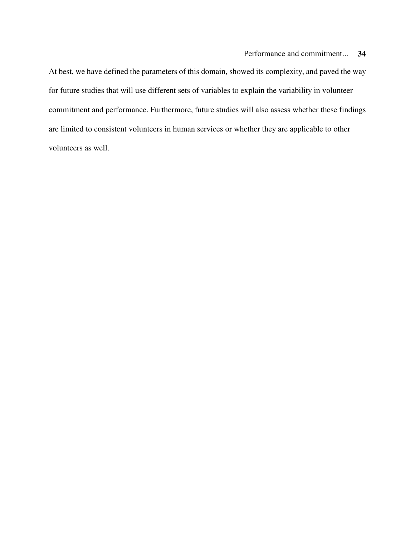At best, we have defined the parameters of this domain, showed its complexity, and paved the way for future studies that will use different sets of variables to explain the variability in volunteer commitment and performance. Furthermore, future studies will also assess whether these findings are limited to consistent volunteers in human services or whether they are applicable to other volunteers as well.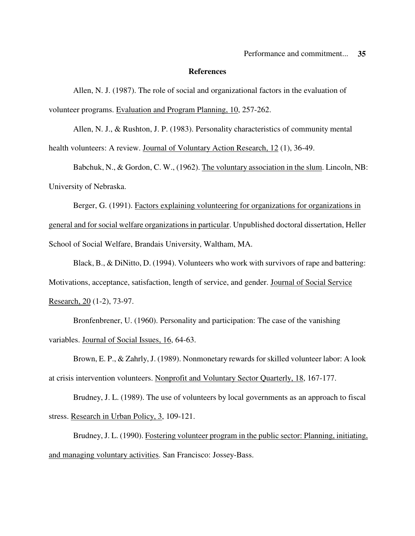#### **References**

Allen, N. J. (1987). The role of social and organizational factors in the evaluation of volunteer programs. Evaluation and Program Planning, 10, 257-262.

Allen, N. J., & Rushton, J. P. (1983). Personality characteristics of community mental health volunteers: A review. Journal of Voluntary Action Research, 12 (1), 36-49.

Babchuk, N., & Gordon, C. W., (1962). The voluntary association in the slum. Lincoln, NB: University of Nebraska.

Berger, G. (1991). Factors explaining volunteering for organizations for organizations in general and for social welfare organizations in particular. Unpublished doctoral dissertation, Heller School of Social Welfare, Brandais University, Waltham, MA.

Black, B., & DiNitto, D. (1994). Volunteers who work with survivors of rape and battering: Motivations, acceptance, satisfaction, length of service, and gender. Journal of Social Service Research, 20 (1-2), 73-97.

Bronfenbrener, U. (1960). Personality and participation: The case of the vanishing variables. Journal of Social Issues, 16, 64-63.

Brown, E. P., & Zahrly, J. (1989). Nonmonetary rewards for skilled volunteer labor: A look at crisis intervention volunteers. Nonprofit and Voluntary Sector Quarterly, 18, 167-177.

Brudney, J. L. (1989). The use of volunteers by local governments as an approach to fiscal stress. Research in Urban Policy, 3, 109-121.

Brudney, J. L. (1990). Fostering volunteer program in the public sector: Planning, initiating, and managing voluntary activities. San Francisco: Jossey-Bass.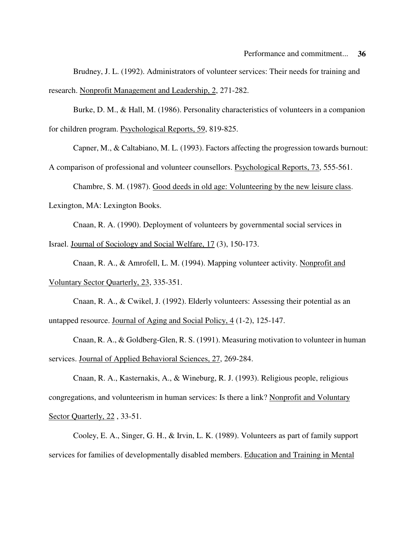Brudney, J. L. (1992). Administrators of volunteer services: Their needs for training and research. Nonprofit Management and Leadership, 2, 271-282.

Burke, D. M., & Hall, M. (1986). Personality characteristics of volunteers in a companion for children program. Psychological Reports, 59, 819-825.

Capner, M., & Caltabiano, M. L. (1993). Factors affecting the progression towards burnout:

A comparison of professional and volunteer counsellors. Psychological Reports, 73, 555-561.

Chambre, S. M. (1987). Good deeds in old age: Volunteering by the new leisure class.

Lexington, MA: Lexington Books.

Cnaan, R. A. (1990). Deployment of volunteers by governmental social services in

Israel. Journal of Sociology and Social Welfare, 17 (3), 150-173.

Cnaan, R. A., & Amrofell, L. M. (1994). Mapping volunteer activity. Nonprofit and Voluntary Sector Quarterly, 23, 335-351.

Cnaan, R. A., & Cwikel, J. (1992). Elderly volunteers: Assessing their potential as an untapped resource. Journal of Aging and Social Policy, 4 (1-2), 125-147.

Cnaan, R. A., & Goldberg-Glen, R. S. (1991). Measuring motivation to volunteer in human services. Journal of Applied Behavioral Sciences, 27, 269-284.

Cnaan, R. A., Kasternakis, A., & Wineburg, R. J. (1993). Religious people, religious congregations, and volunteerism in human services: Is there a link? Nonprofit and Voluntary Sector Quarterly, 22, 33-51.

Cooley, E. A., Singer, G. H., & Irvin, L. K. (1989). Volunteers as part of family support services for families of developmentally disabled members. Education and Training in Mental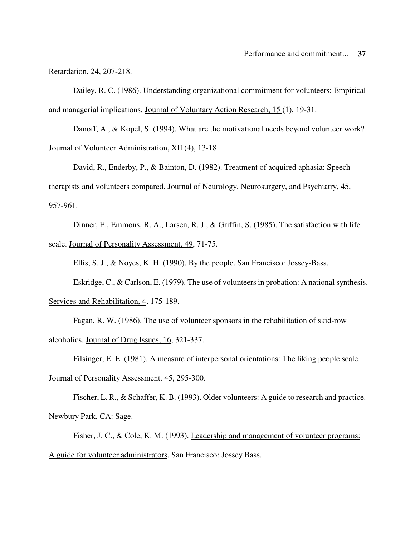Retardation, 24, 207-218.

Dailey, R. C. (1986). Understanding organizational commitment for volunteers: Empirical and managerial implications. Journal of Voluntary Action Research, 15 (1), 19-31.

Danoff, A., & Kopel, S. (1994). What are the motivational needs beyond volunteer work? Journal of Volunteer Administration, XII (4), 13-18.

David, R., Enderby, P., & Bainton, D. (1982). Treatment of acquired aphasia: Speech therapists and volunteers compared. Journal of Neurology, Neurosurgery, and Psychiatry, 45, 957-961.

Dinner, E., Emmons, R. A., Larsen, R. J., & Griffin, S. (1985). The satisfaction with life scale. Journal of Personality Assessment, 49, 71-75.

Ellis, S. J., & Noyes, K. H. (1990). By the people. San Francisco: Jossey-Bass.

Eskridge, C., & Carlson, E. (1979). The use of volunteers in probation: A national synthesis.

Services and Rehabilitation, 4, 175-189.

Fagan, R. W. (1986). The use of volunteer sponsors in the rehabilitation of skid-row alcoholics. Journal of Drug Issues, 16, 321-337.

Filsinger, E. E. (1981). A measure of interpersonal orientations: The liking people scale.

Journal of Personality Assessment. 45, 295-300.

Fischer, L. R., & Schaffer, K. B. (1993). Older volunteers: A guide to research and practice. Newbury Park, CA: Sage.

Fisher, J. C., & Cole, K. M. (1993). Leadership and management of volunteer programs: A guide for volunteer administrators. San Francisco: Jossey Bass.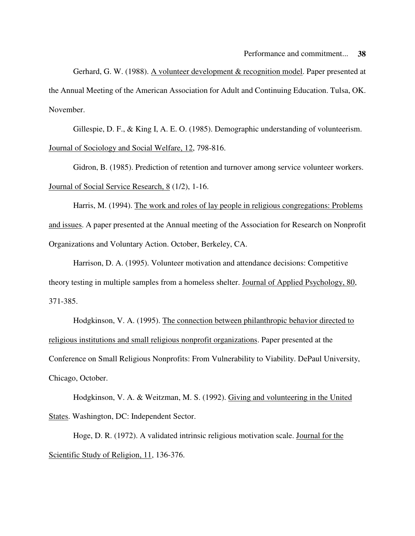Gerhard, G. W. (1988). A volunteer development & recognition model. Paper presented at the Annual Meeting of the American Association for Adult and Continuing Education. Tulsa, OK. November.

Gillespie, D. F., & King I, A. E. O. (1985). Demographic understanding of volunteerism. Journal of Sociology and Social Welfare, 12, 798-816.

Gidron, B. (1985). Prediction of retention and turnover among service volunteer workers. Journal of Social Service Research, 8 (1/2), 1-16.

Harris, M. (1994). The work and roles of lay people in religious congregations: Problems and issues. A paper presented at the Annual meeting of the Association for Research on Nonprofit Organizations and Voluntary Action. October, Berkeley, CA.

Harrison, D. A. (1995). Volunteer motivation and attendance decisions: Competitive theory testing in multiple samples from a homeless shelter. Journal of Applied Psychology, 80, 371-385.

Hodgkinson, V. A. (1995). The connection between philanthropic behavior directed to religious institutions and small religious nonprofit organizations. Paper presented at the Conference on Small Religious Nonprofits: From Vulnerability to Viability. DePaul University, Chicago, October.

Hodgkinson, V. A. & Weitzman, M. S. (1992). Giving and volunteering in the United States. Washington, DC: Independent Sector.

Hoge, D. R. (1972). A validated intrinsic religious motivation scale. Journal for the Scientific Study of Religion, 11, 136-376.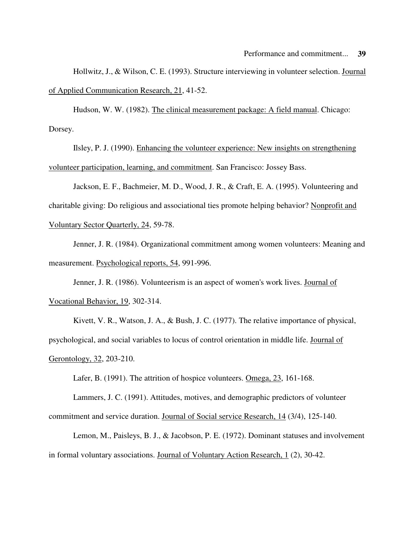Hollwitz, J., & Wilson, C. E. (1993). Structure interviewing in volunteer selection. Journal of Applied Communication Research, 21, 41-52.

Hudson, W. W. (1982). The clinical measurement package: A field manual. Chicago: Dorsey.

Ilsley, P. J. (1990). Enhancing the volunteer experience: New insights on strengthening volunteer participation, learning, and commitment. San Francisco: Jossey Bass.

Jackson, E. F., Bachmeier, M. D., Wood, J. R., & Craft, E. A. (1995). Volunteering and charitable giving: Do religious and associational ties promote helping behavior? Nonprofit and Voluntary Sector Quarterly, 24, 59-78.

Jenner, J. R. (1984). Organizational commitment among women volunteers: Meaning and measurement. Psychological reports, 54, 991-996.

Jenner, J. R. (1986). Volunteerism is an aspect of women's work lives. Journal of Vocational Behavior, 19, 302-314.

Kivett, V. R., Watson, J. A., & Bush, J. C. (1977). The relative importance of physical, psychological, and social variables to locus of control orientation in middle life. Journal of Gerontology, 32, 203-210.

Lafer, B. (1991). The attrition of hospice volunteers. Omega, 23, 161-168.

Lammers, J. C. (1991). Attitudes, motives, and demographic predictors of volunteer commitment and service duration. Journal of Social service Research, 14 (3/4), 125-140.

Lemon, M., Paisleys, B. J., & Jacobson, P. E. (1972). Dominant statuses and involvement in formal voluntary associations. Journal of Voluntary Action Research, 1 (2), 30-42.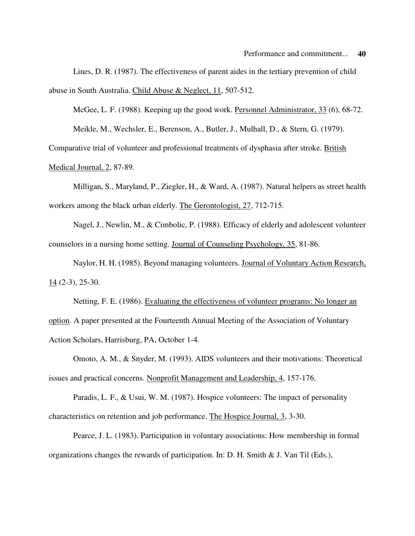Lines, D. R. (1987). The effectiveness of parent aides in the tertiary prevention of child abuse in South Australia. Child Abuse & Neglect, 11, 507-512.

McGee, L. F. (1988). Keeping up the good work. Personnel Administrator, 33 (6), 68-72. Meikle, M., Wechsler, E., Berenson, A., Butler, J., Mulhall, D., & Stern, G. (1979).

Comparative trial of volunteer and professional treatments of dysphasia after stroke. British Medical Journal, 2, 87-89.

Milligan, S., Maryland, P., Ziegler, H., & Ward, A. (1987). Natural helpers as street health workers among the black urban elderly. The Gerontologist, 27, 712-715.

Nagel, J., Newlin, M., & Cimbolic, P. (1988). Efficacy of elderly and adolescent volunteer counselors in a nursing home setting. Journal of Counseling Psychology, 35, 81-86.

Naylor, H. H. (1985). Beyond managing volunteers. Journal of Voluntary Action Research, 14 (2-3), 25-30.

Netting, F. E. (1986). Evaluating the effectiveness of volunteer programs: No longer an option. A paper presented at the Fourteenth Annual Meeting of the Association of Voluntary Action Scholars, Harrisburg, PA, October 1-4.

Omoto, A. M., & Snyder, M. (1993). AIDS volunteers and their motivations: Theoretical issues and practical concerns. Nonprofit Management and Leadership, 4, 157-176.

Paradis, L. F., & Usui, W. M. (1987). Hospice volunteers: The impact of personality characteristics on retention and job performance. The Hospice Journal, 3, 3-30.

Pearce, J. L. (1983). Participation in voluntary associations: How membership in formal organizations changes the rewards of participation. In: D. H. Smith & J. Van Til (Eds.),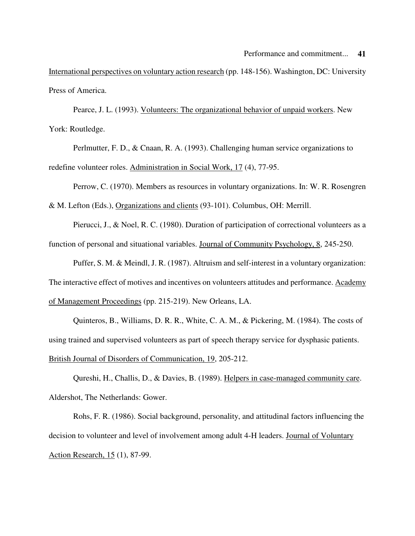International perspectives on voluntary action research (pp. 148-156). Washington, DC: University Press of America.

Pearce, J. L. (1993). Volunteers: The organizational behavior of unpaid workers. New York: Routledge.

Perlmutter, F. D., & Cnaan, R. A. (1993). Challenging human service organizations to redefine volunteer roles. Administration in Social Work, 17 (4), 77-95.

Perrow, C. (1970). Members as resources in voluntary organizations. In: W. R. Rosengren

& M. Lefton (Eds.), Organizations and clients (93-101). Columbus, OH: Merrill.

Pierucci, J., & Noel, R. C. (1980). Duration of participation of correctional volunteers as a function of personal and situational variables. Journal of Community Psychology, 8, 245-250.

Puffer, S. M. & Meindl, J. R. (1987). Altruism and self-interest in a voluntary organization: The interactive effect of motives and incentives on volunteers attitudes and performance. Academy of Management Proceedings (pp. 215-219). New Orleans, LA.

Quinteros, B., Williams, D. R. R., White, C. A. M., & Pickering, M. (1984). The costs of using trained and supervised volunteers as part of speech therapy service for dysphasic patients. British Journal of Disorders of Communication, 19, 205-212.

Qureshi, H., Challis, D., & Davies, B. (1989). Helpers in case-managed community care. Aldershot, The Netherlands: Gower.

Rohs, F. R. (1986). Social background, personality, and attitudinal factors influencing the decision to volunteer and level of involvement among adult 4-H leaders. Journal of Voluntary Action Research, 15 (1), 87-99.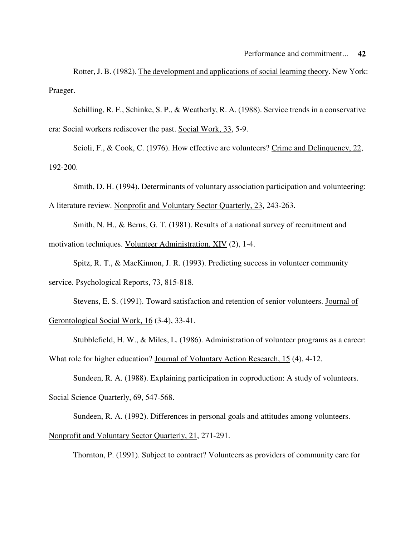Rotter, J. B. (1982). The development and applications of social learning theory. New York: Praeger.

Schilling, R. F., Schinke, S. P., & Weatherly, R. A. (1988). Service trends in a conservative era: Social workers rediscover the past. Social Work, 33, 5-9.

Scioli, F., & Cook, C. (1976). How effective are volunteers? Crime and Delinquency, 22, 192-200.

Smith, D. H. (1994). Determinants of voluntary association participation and volunteering: A literature review. Nonprofit and Voluntary Sector Quarterly, 23, 243-263.

Smith, N. H., & Berns, G. T. (1981). Results of a national survey of recruitment and motivation techniques. Volunteer Administration, XIV (2), 1-4.

Spitz, R. T., & MacKinnon, J. R. (1993). Predicting success in volunteer community service. Psychological Reports, 73, 815-818.

Stevens, E. S. (1991). Toward satisfaction and retention of senior volunteers. Journal of Gerontological Social Work, 16 (3-4), 33-41.

Stubblefield, H. W., & Miles, L. (1986). Administration of volunteer programs as a career: What role for higher education? Journal of Voluntary Action Research, 15 (4), 4-12.

Sundeen, R. A. (1988). Explaining participation in coproduction: A study of volunteers.

Social Science Quarterly, 69, 547-568.

Sundeen, R. A. (1992). Differences in personal goals and attitudes among volunteers. Nonprofit and Voluntary Sector Quarterly, 21, 271-291.

Thornton, P. (1991). Subject to contract? Volunteers as providers of community care for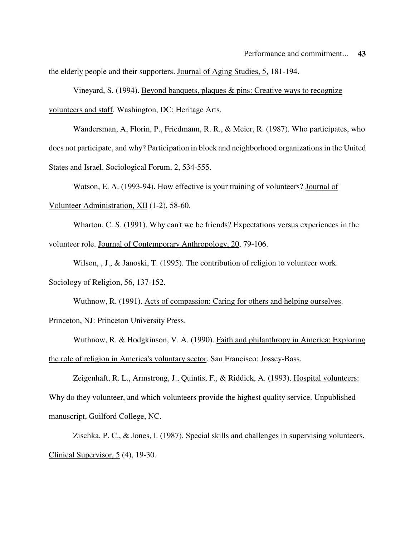the elderly people and their supporters. Journal of Aging Studies, 5, 181-194.

Vineyard, S. (1994). Beyond banquets, plaques & pins: Creative ways to recognize volunteers and staff. Washington, DC: Heritage Arts.

Wandersman, A, Florin, P., Friedmann, R. R., & Meier, R. (1987). Who participates, who does not participate, and why? Participation in block and neighborhood organizations in the United States and Israel. Sociological Forum, 2, 534-555.

Watson, E. A. (1993-94). How effective is your training of volunteers? Journal of Volunteer Administration, XII (1-2), 58-60.

Wharton, C. S. (1991). Why can't we be friends? Expectations versus experiences in the volunteer role. Journal of Contemporary Anthropology, 20, 79-106.

Wilson, , J., & Janoski, T. (1995). The contribution of religion to volunteer work.

Sociology of Religion, 56, 137-152.

Wuthnow, R. (1991). Acts of compassion: Caring for others and helping ourselves. Princeton, NJ: Princeton University Press.

Wuthnow, R. & Hodgkinson, V. A. (1990). Faith and philanthropy in America: Exploring the role of religion in America's voluntary sector. San Francisco: Jossey-Bass.

Zeigenhaft, R. L., Armstrong, J., Quintis, F., & Riddick, A. (1993). Hospital volunteers: Why do they volunteer, and which volunteers provide the highest quality service. Unpublished manuscript, Guilford College, NC.

Zischka, P. C., & Jones, I. (1987). Special skills and challenges in supervising volunteers. Clinical Supervisor, 5 (4), 19-30.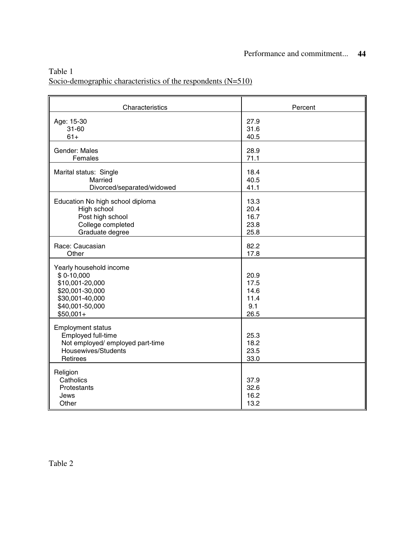| Table 1                                                        |  |
|----------------------------------------------------------------|--|
| Socio-demographic characteristics of the respondents $(N=510)$ |  |

| Characteristics                                                                                                                  | Percent                                     |
|----------------------------------------------------------------------------------------------------------------------------------|---------------------------------------------|
| Age: 15-30                                                                                                                       | 27.9                                        |
| $31 - 60$                                                                                                                        | 31.6                                        |
| $61+$                                                                                                                            | 40.5                                        |
| Gender: Males                                                                                                                    | 28.9                                        |
| Females                                                                                                                          | 71.1                                        |
| Marital status: Single                                                                                                           | 18.4                                        |
| Married                                                                                                                          | 40.5                                        |
| Divorced/separated/widowed                                                                                                       | 41.1                                        |
| Education No high school diploma                                                                                                 | 13.3                                        |
| High school                                                                                                                      | 20.4                                        |
| Post high school                                                                                                                 | 16.7                                        |
| College completed                                                                                                                | 23.8                                        |
| Graduate degree                                                                                                                  | 25.8                                        |
| Race: Caucasian                                                                                                                  | 82.2                                        |
| Other                                                                                                                            | 17.8                                        |
| Yearly household income<br>$$0-10,000$<br>\$10,001-20,000<br>\$20,001-30,000<br>\$30,001-40,000<br>\$40,001-50,000<br>$$50,001+$ | 20.9<br>17.5<br>14.6<br>11.4<br>9.1<br>26.5 |
| <b>Employment status</b><br>Employed full-time<br>Not employed/ employed part-time<br>Housewives/Students<br>Retirees            | 25.3<br>18.2<br>23.5<br>33.0                |
| Religion<br>Catholics<br>Protestants<br>Jews<br>Other                                                                            | 37.9<br>32.6<br>16.2<br>13.2                |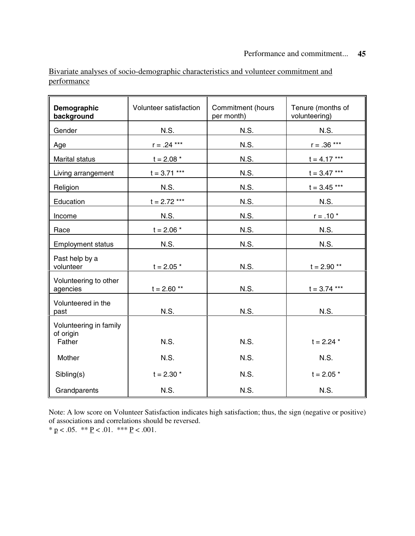Bivariate analyses of socio-demographic characteristics and volunteer commitment and performance

| Demographic<br>background                     | Volunteer satisfaction<br>Commitment (hours<br>per month) |             | Tenure (months of<br>volunteering) |
|-----------------------------------------------|-----------------------------------------------------------|-------------|------------------------------------|
| Gender                                        | N.S.                                                      | N.S.        | <b>N.S.</b>                        |
| Age                                           | $r = .24***$                                              | N.S.        | $r = .36***$                       |
| Marital status                                | $t = 2.08$ *                                              | N.S.        | $t = 4.17***$                      |
| Living arrangement                            | $t = 3.71***$                                             | N.S.        | $t = 3.47***$                      |
| Religion                                      | N.S.                                                      | N.S.        | $t = 3.45***$                      |
| Education                                     | $t = 2.72***$                                             | N.S.        | N.S.                               |
| Income                                        | N.S.                                                      | N.S.        | $r = .10 *$                        |
| Race                                          | $t = 2.06 *$                                              | N.S.        | N.S.                               |
| <b>Employment status</b>                      | N.S.                                                      | <b>N.S.</b> | N.S.                               |
| Past help by a<br>volunteer                   | $t = 2.05$ *                                              | <b>N.S.</b> | $t = 2.90$ **                      |
| Volunteering to other<br>agencies             | $t = 2.60$ **                                             | <b>N.S.</b> | $t = 3.74***$                      |
| Volunteered in the<br>past                    | N.S.                                                      | <b>N.S.</b> | N.S.                               |
| Volunteering in family<br>of origin<br>Father | <b>N.S.</b>                                               | <b>N.S.</b> | $t = 2.24$ *                       |
| Mother                                        | <b>N.S.</b>                                               | N.S.        | <b>N.S.</b>                        |
| Sibling(s)                                    | $t = 2.30$ *                                              | N.S.        | $t = 2.05$ *                       |
| Grandparents                                  | <b>N.S.</b>                                               | N.S.        | <b>N.S.</b>                        |

Note: A low score on Volunteer Satisfaction indicates high satisfaction; thus, the sign (negative or positive) of associations and correlations should be reversed. \* p < .05.  $*$  \* P < .01.  $*$  \* P < .001.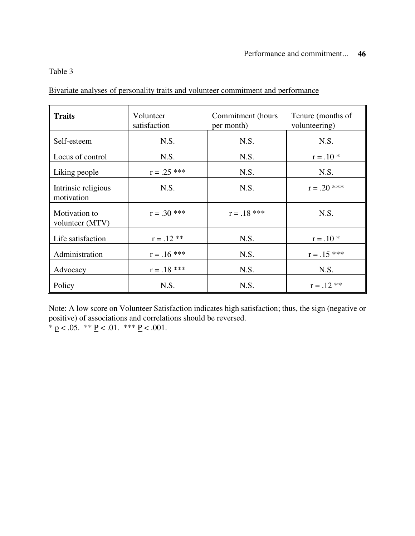## Table 3

Bivariate analyses of personality traits and volunteer commitment and performance

| <b>Traits</b>                     | Volunteer<br>satisfaction | Commitment (hours<br>per month) |               |
|-----------------------------------|---------------------------|---------------------------------|---------------|
| Self-esteem                       | N.S.                      | N.S.                            | N.S.          |
| Locus of control                  | N.S.                      | N.S.                            | $r = .10*$    |
| Liking people                     | $r = .25$ ***             | N.S.                            | N.S.          |
| Intrinsic religious<br>motivation | N.S.                      | N.S.                            | $r = .20$ *** |
| Motivation to<br>volunteer (MTV)  | $r = .30$ ***             | $r = .18$ ***                   | N.S.          |
| Life satisfaction                 | $r = .12$ **              | N.S.                            | $r = .10*$    |
| Administration                    | $r = .16$ ***             | N.S.                            | $r = .15$ *** |
| Advocacy                          | $r = .18$ ***             | N.S.                            | N.S.          |
| Policy                            | N.S.                      | N.S.                            | $r = .12$ **  |

Note: A low score on Volunteer Satisfaction indicates high satisfaction; thus, the sign (negative or positive) of associations and correlations should be reversed. \*  $p < .05.$  \*\*  $P < .01.$  \*\*\*  $P < .001.$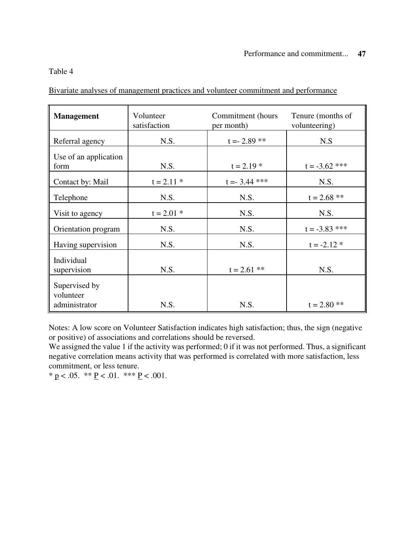## Table 4

Bivariate analyses of management practices and volunteer commitment and performance

| <b>Management</b>                           | Volunteer<br>satisfaction | Commitment (hours<br>per month) | Tenure (months of<br>volunteering) |  |
|---------------------------------------------|---------------------------|---------------------------------|------------------------------------|--|
| Referral agency                             | N.S.                      | $t = -2.89$ **                  | N.S                                |  |
| Use of an application<br>form               | N.S.                      | $t = 2.19$ *                    | $t = -3.62$ ***                    |  |
| Contact by: Mail                            | $t = 2.11$ *              | $t = -3.44$ ***                 | N.S.                               |  |
| Telephone                                   | N.S.                      | N.S.                            | $t = 2.68$ **                      |  |
| Visit to agency                             | $t = 2.01$ *              | N.S.                            | N.S.                               |  |
| Orientation program                         | N.S.                      | N.S.                            | $t = -3.83$ ***                    |  |
| Having supervision                          | N.S.                      | N.S.                            | $t = -2.12$ *                      |  |
| Individual<br>supervision                   | N.S.                      | $t = 2.61$ **                   | N.S.                               |  |
| Supervised by<br>volunteer<br>administrator | N.S.                      | N.S.                            | $t = 2.80$ **                      |  |

Notes: A low score on Volunteer Satisfaction indicates high satisfaction; thus, the sign (negative or positive) of associations and correlations should be reversed.

We assigned the value 1 if the activity was performed; 0 if it was not performed. Thus, a significant negative correlation means activity that was performed is correlated with more satisfaction, less commitment, or less tenure.

\*  $p < .05.$  \*\*  $P < .01.$  \*\*\*  $P < .001.$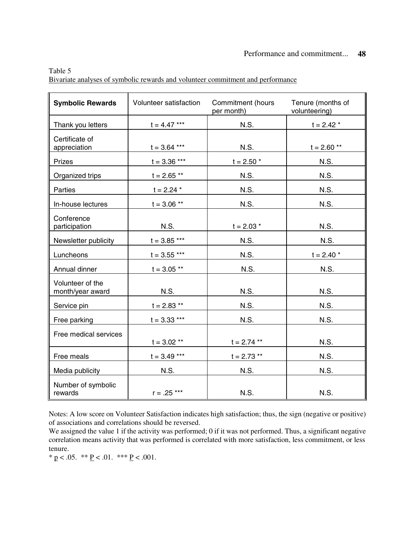| <b>Symbolic Rewards</b>              | Volunteer satisfaction<br>Commitment (hours<br>per month) |               | Tenure (months of<br>volunteering) |  |
|--------------------------------------|-----------------------------------------------------------|---------------|------------------------------------|--|
| Thank you letters                    | $t=4.47$ ***                                              | N.S.          | $t = 2.42$ *                       |  |
| Certificate of<br>appreciation       | $t = 3.64$ ***                                            | N.S.          | $t = 2.60$ **                      |  |
| Prizes                               | $t = 3.36***$                                             | $t = 2.50 *$  | <b>N.S.</b>                        |  |
| Organized trips                      | $t = 2.65$ **                                             | N.S.          | N.S.                               |  |
| Parties                              | $t = 2.24$ *                                              | N.S.          | N.S.                               |  |
| In-house lectures                    | $t = 3.06$ **                                             | N.S.          | N.S.                               |  |
| Conference<br>participation          | N.S.                                                      | $t = 2.03$ *  | <b>N.S.</b>                        |  |
| Newsletter publicity                 | $t = 3.85***$                                             | <b>N.S.</b>   | N.S.                               |  |
| Luncheons                            | $t = 3.55$ ***                                            | <b>N.S.</b>   | $t = 2.40$ *                       |  |
| Annual dinner                        | $t = 3.05$ **                                             | N.S.          | N.S.                               |  |
| Volunteer of the<br>month/year award | N.S.                                                      | <b>N.S.</b>   | <b>N.S.</b>                        |  |
| Service pin                          | $t = 2.83$ **                                             | N.S.          | N.S.                               |  |
| Free parking                         | $t = 3.33***$                                             | N.S.          | N.S.                               |  |
| Free medical services                | $t = 3.02$ **                                             | $t = 2.74$ ** | N.S.                               |  |
| Free meals                           | $t = 3.49***$                                             | $t = 2.73$ ** | <b>N.S.</b>                        |  |
| Media publicity                      | N.S.                                                      | <b>N.S.</b>   | <b>N.S.</b>                        |  |
| Number of symbolic<br>rewards        | $r = .25***$                                              | N.S.          | N.S.                               |  |

Table 5 Bivariate analyses of symbolic rewards and volunteer commitment and performance

Notes: A low score on Volunteer Satisfaction indicates high satisfaction; thus, the sign (negative or positive) of associations and correlations should be reversed.

We assigned the value 1 if the activity was performed; 0 if it was not performed. Thus, a significant negative correlation means activity that was performed is correlated with more satisfaction, less commitment, or less tenure.

\*  $p < .05.$  \*\*  $P < .01.$  \*\*\*  $P < .001.$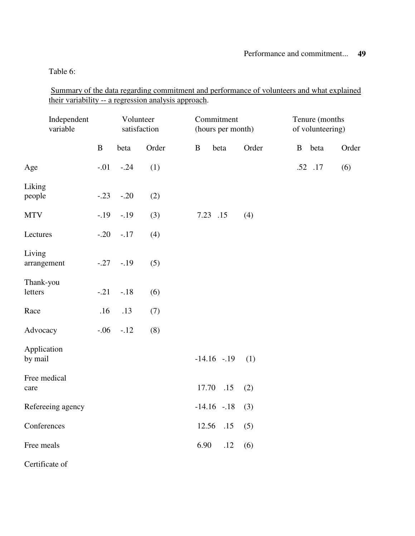Table 6:

Summary of the data regarding commitment and performance of volunteers and what explained their variability -- a regression analysis approach.

| Independent<br>variable |              | Volunteer | satisfaction | Commitment<br>(hours per month) |       | Tenure (months<br>of volunteering) |       |
|-------------------------|--------------|-----------|--------------|---------------------------------|-------|------------------------------------|-------|
|                         | $\, {\bf B}$ | beta      | Order        | $\, {\bf B}$<br>beta            | Order | B beta                             | Order |
| Age                     | $-.01$       | $-.24$    | (1)          |                                 |       | .52 .17                            | (6)   |
| Liking<br>people        | $-.23$       | $-.20$    | (2)          |                                 |       |                                    |       |
| <b>MTV</b>              | $-.19$       | $-.19$    | (3)          | 7.23 .15                        | (4)   |                                    |       |
| Lectures                | $-.20$       | $-.17$    | (4)          |                                 |       |                                    |       |
| Living<br>arrangement   | $-.27$       | $-.19$    | (5)          |                                 |       |                                    |       |
| Thank-you<br>letters    | $-.21$       | $-.18$    | (6)          |                                 |       |                                    |       |
| Race                    | .16          | .13       | (7)          |                                 |       |                                    |       |
| Advocacy                | $-.06$       | $-.12$    | (8)          |                                 |       |                                    |       |
| Application<br>by mail  |              |           |              | $-14.16 - 19$                   | (1)   |                                    |       |
| Free medical<br>care    |              |           |              | 17.70 .15                       | (2)   |                                    |       |
| Refereeing agency       |              |           |              | $-14.16 - 18$                   | (3)   |                                    |       |
| Conferences             |              |           |              | 12.56<br>.15                    | (5)   |                                    |       |
| Free meals              |              |           |              | 6.90<br>.12                     | (6)   |                                    |       |
| Certificate of          |              |           |              |                                 |       |                                    |       |